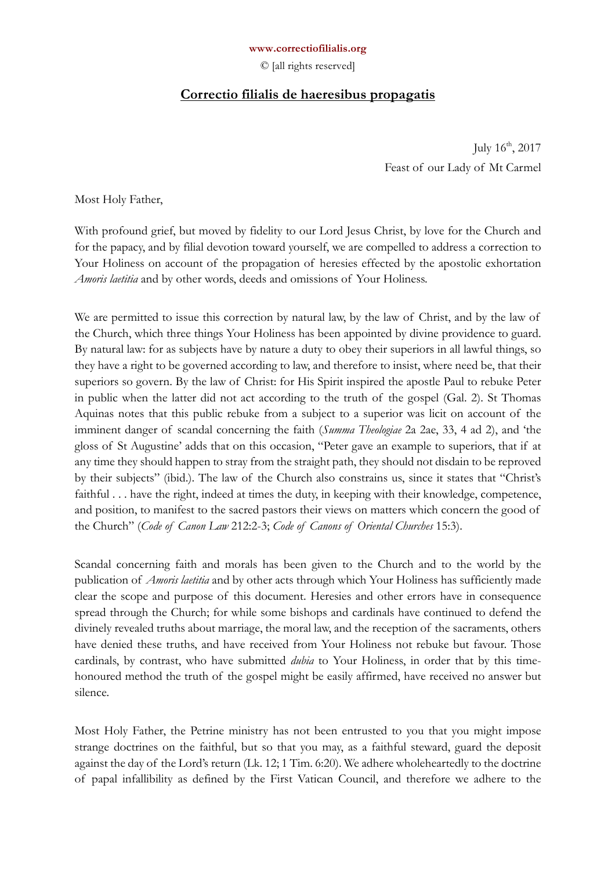© [all rights reserved]

# **Correctio filialis de haeresibus propagatis**

July  $16^{th}$ , 2017 Feast of our Lady of Mt Carmel

Most Holy Father,

With profound grief, but moved by fidelity to our Lord Jesus Christ, by love for the Church and for the papacy, and by filial devotion toward yourself, we are compelled to address a correction to Your Holiness on account of the propagation of heresies effected by the apostolic exhortation *Amoris laetitia* and by other words, deeds and omissions of Your Holiness.

We are permitted to issue this correction by natural law, by the law of Christ, and by the law of the Church, which three things Your Holiness has been appointed by divine providence to guard. By natural law: for as subjects have by nature a duty to obey their superiors in all lawful things, so they have a right to be governed according to law, and therefore to insist, where need be, that their superiors so govern. By the law of Christ: for His Spirit inspired the apostle Paul to rebuke Peter in public when the latter did not act according to the truth of the gospel (Gal. 2). St Thomas Aquinas notes that this public rebuke from a subject to a superior was licit on account of the imminent danger of scandal concerning the faith (*Summa Theologiae* 2a 2ae, 33, 4 ad 2), and 'the gloss of St Augustine' adds that on this occasion, "Peter gave an example to superiors, that if at any time they should happen to stray from the straight path, they should not disdain to be reproved by their subjects" (ibid.). The law of the Church also constrains us, since it states that "Christ's faithful . . . have the right, indeed at times the duty, in keeping with their knowledge, competence, and position, to manifest to the sacred pastors their views on matters which concern the good of the Church" (*Code of Canon Law* 212:2-3; *Code of Canons of Oriental Churches* 15:3).

Scandal concerning faith and morals has been given to the Church and to the world by the publication of *Amoris laetitia* and by other acts through which Your Holiness has sufficiently made clear the scope and purpose of this document. Heresies and other errors have in consequence spread through the Church; for while some bishops and cardinals have continued to defend the divinely revealed truths about marriage, the moral law, and the reception of the sacraments, others have denied these truths, and have received from Your Holiness not rebuke but favour. Those cardinals, by contrast, who have submitted *dubia* to Your Holiness, in order that by this timehonoured method the truth of the gospel might be easily affirmed, have received no answer but silence.

Most Holy Father, the Petrine ministry has not been entrusted to you that you might impose strange doctrines on the faithful, but so that you may, as a faithful steward, guard the deposit against the day of the Lord's return (Lk. 12; 1 Tim. 6:20). We adhere wholeheartedly to the doctrine of papal infallibility as defined by the First Vatican Council, and therefore we adhere to the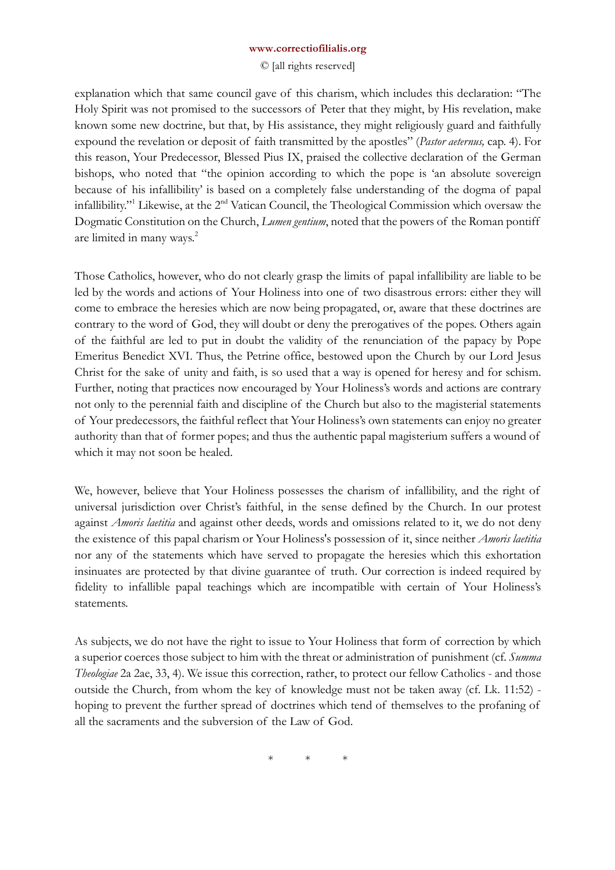© [all rights reserved]

explanation which that same council gave of this charism, which includes this declaration: "The Holy Spirit was not promised to the successors of Peter that they might, by His revelation, make known some new doctrine, but that, by His assistance, they might religiously guard and faithfully expound the revelation or deposit of faith transmitted by the apostles" (*Pastor aeternus,* cap. 4). For this reason, Your Predecessor, Blessed Pius IX, praised the collective declaration of the German bishops, who noted that "the opinion according to which the pope is 'an absolute sovereign because of his infallibility' is based on a completely false understanding of the dogma of papal infallibility."1 Likewise, at the 2nd Vatican Council, the Theological Commission which oversaw the Dogmatic Constitution on the Church, *Lumen gentium*, noted that the powers of the Roman pontiff are limited in many ways.<sup>2</sup>

Those Catholics, however, who do not clearly grasp the limits of papal infallibility are liable to be led by the words and actions of Your Holiness into one of two disastrous errors: either they will come to embrace the heresies which are now being propagated, or, aware that these doctrines are contrary to the word of God, they will doubt or deny the prerogatives of the popes. Others again of the faithful are led to put in doubt the validity of the renunciation of the papacy by Pope Emeritus Benedict XVI. Thus, the Petrine office, bestowed upon the Church by our Lord Jesus Christ for the sake of unity and faith, is so used that a way is opened for heresy and for schism. Further, noting that practices now encouraged by Your Holiness's words and actions are contrary not only to the perennial faith and discipline of the Church but also to the magisterial statements of Your predecessors, the faithful reflect that Your Holiness's own statements can enjoy no greater authority than that of former popes; and thus the authentic papal magisterium suffers a wound of which it may not soon be healed.

We, however, believe that Your Holiness possesses the charism of infallibility, and the right of universal jurisdiction over Christ's faithful, in the sense defined by the Church. In our protest against *Amoris laetitia* and against other deeds, words and omissions related to it, we do not deny the existence of this papal charism or Your Holiness's possession of it, since neither *Amoris laetitia* nor any of the statements which have served to propagate the heresies which this exhortation insinuates are protected by that divine guarantee of truth. Our correction is indeed required by fidelity to infallible papal teachings which are incompatible with certain of Your Holiness's statements.

As subjects, we do not have the right to issue to Your Holiness that form of correction by which a superior coerces those subject to him with the threat or administration of punishment (cf. *Summa Theologiae* 2a 2ae, 33, 4). We issue this correction, rather, to protect our fellow Catholics - and those outside the Church, from whom the key of knowledge must not be taken away (cf. Lk. 11:52) hoping to prevent the further spread of doctrines which tend of themselves to the profaning of all the sacraments and the subversion of the Law of God.

\* \* \*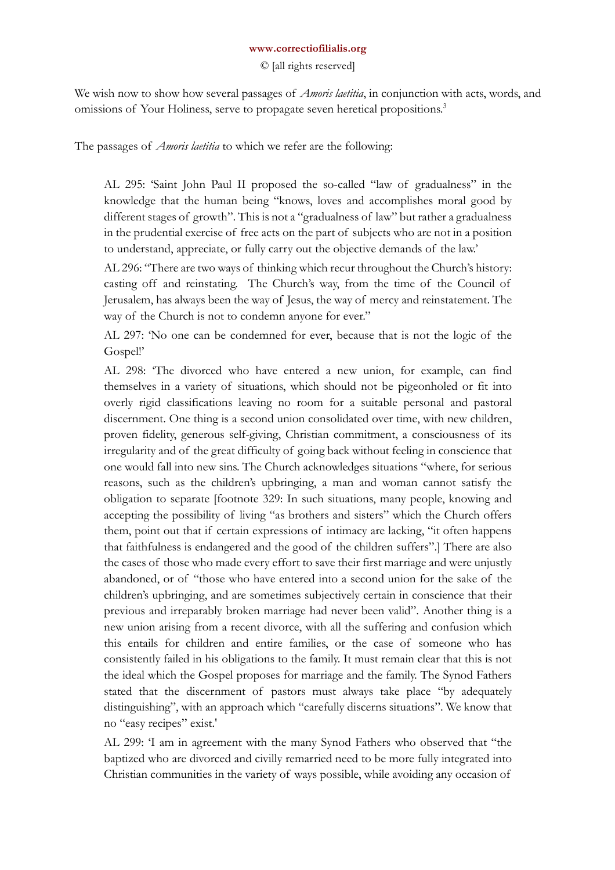© [all rights reserved]

We wish now to show how several passages of *Amoris laetitia*, in conjunction with acts, words, and omissions of Your Holiness, serve to propagate seven heretical propositions.3

The passages of *Amoris laetitia* to which we refer are the following:

AL 295: 'Saint John Paul II proposed the so-called "law of gradualness" in the knowledge that the human being "knows, loves and accomplishes moral good by different stages of growth". This is not a "gradualness of law" but rather a gradualness in the prudential exercise of free acts on the part of subjects who are not in a position to understand, appreciate, or fully carry out the objective demands of the law.'

AL 296: "There are two ways of thinking which recur throughout the Church's history: casting off and reinstating. The Church's way, from the time of the Council of Jerusalem, has always been the way of Jesus, the way of mercy and reinstatement. The way of the Church is not to condemn anyone for ever."

AL 297: 'No one can be condemned for ever, because that is not the logic of the Gospel!'

AL 298: 'The divorced who have entered a new union, for example, can find themselves in a variety of situations, which should not be pigeonholed or fit into overly rigid classifications leaving no room for a suitable personal and pastoral discernment. One thing is a second union consolidated over time, with new children, proven fidelity, generous self-giving, Christian commitment, a consciousness of its irregularity and of the great difficulty of going back without feeling in conscience that one would fall into new sins. The Church acknowledges situations "where, for serious reasons, such as the children's upbringing, a man and woman cannot satisfy the obligation to separate [footnote 329: In such situations, many people, knowing and accepting the possibility of living "as brothers and sisters" which the Church offers them, point out that if certain expressions of intimacy are lacking, "it often happens that faithfulness is endangered and the good of the children suffers".] There are also the cases of those who made every effort to save their first marriage and were unjustly abandoned, or of "those who have entered into a second union for the sake of the children's upbringing, and are sometimes subjectively certain in conscience that their previous and irreparably broken marriage had never been valid". Another thing is a new union arising from a recent divorce, with all the suffering and confusion which this entails for children and entire families, or the case of someone who has consistently failed in his obligations to the family. It must remain clear that this is not the ideal which the Gospel proposes for marriage and the family. The Synod Fathers stated that the discernment of pastors must always take place "by adequately distinguishing", with an approach which "carefully discerns situations". We know that no "easy recipes" exist.'

AL 299: 'I am in agreement with the many Synod Fathers who observed that "the baptized who are divorced and civilly remarried need to be more fully integrated into Christian communities in the variety of ways possible, while avoiding any occasion of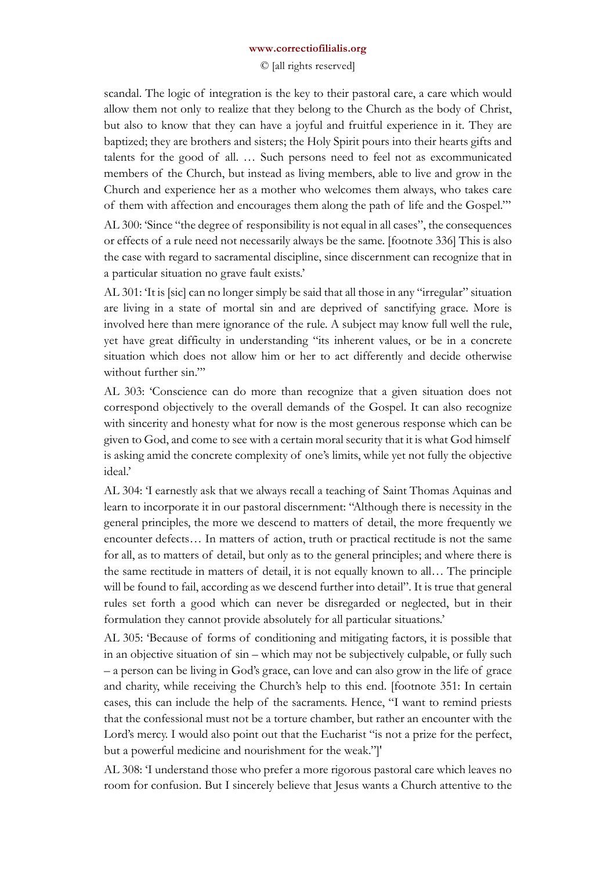scandal. The logic of integration is the key to their pastoral care, a care which would allow them not only to realize that they belong to the Church as the body of Christ, but also to know that they can have a joyful and fruitful experience in it. They are baptized; they are brothers and sisters; the Holy Spirit pours into their hearts gifts and talents for the good of all. … Such persons need to feel not as excommunicated members of the Church, but instead as living members, able to live and grow in the Church and experience her as a mother who welcomes them always, who takes care of them with affection and encourages them along the path of life and the Gospel."'

AL 300: 'Since "the degree of responsibility is not equal in all cases", the consequences or effects of a rule need not necessarily always be the same. [footnote 336] This is also the case with regard to sacramental discipline, since discernment can recognize that in a particular situation no grave fault exists.'

AL 301: 'It is [sic] can no longer simply be said that all those in any "irregular" situation are living in a state of mortal sin and are deprived of sanctifying grace. More is involved here than mere ignorance of the rule. A subject may know full well the rule, yet have great difficulty in understanding "its inherent values, or be in a concrete situation which does not allow him or her to act differently and decide otherwise without further sin."

AL 303: 'Conscience can do more than recognize that a given situation does not correspond objectively to the overall demands of the Gospel. It can also recognize with sincerity and honesty what for now is the most generous response which can be given to God, and come to see with a certain moral security that it is what God himself is asking amid the concrete complexity of one's limits, while yet not fully the objective ideal.'

AL 304: 'I earnestly ask that we always recall a teaching of Saint Thomas Aquinas and learn to incorporate it in our pastoral discernment: "Although there is necessity in the general principles, the more we descend to matters of detail, the more frequently we encounter defects… In matters of action, truth or practical rectitude is not the same for all, as to matters of detail, but only as to the general principles; and where there is the same rectitude in matters of detail, it is not equally known to all… The principle will be found to fail, according as we descend further into detail". It is true that general rules set forth a good which can never be disregarded or neglected, but in their formulation they cannot provide absolutely for all particular situations.'

AL 305: 'Because of forms of conditioning and mitigating factors, it is possible that in an objective situation of sin – which may not be subjectively culpable, or fully such – a person can be living in God's grace, can love and can also grow in the life of grace and charity, while receiving the Church's help to this end. [footnote 351: In certain cases, this can include the help of the sacraments. Hence, "I want to remind priests that the confessional must not be a torture chamber, but rather an encounter with the Lord's mercy. I would also point out that the Eucharist "is not a prize for the perfect, but a powerful medicine and nourishment for the weak."]'

AL 308: 'I understand those who prefer a more rigorous pastoral care which leaves no room for confusion. But I sincerely believe that Jesus wants a Church attentive to the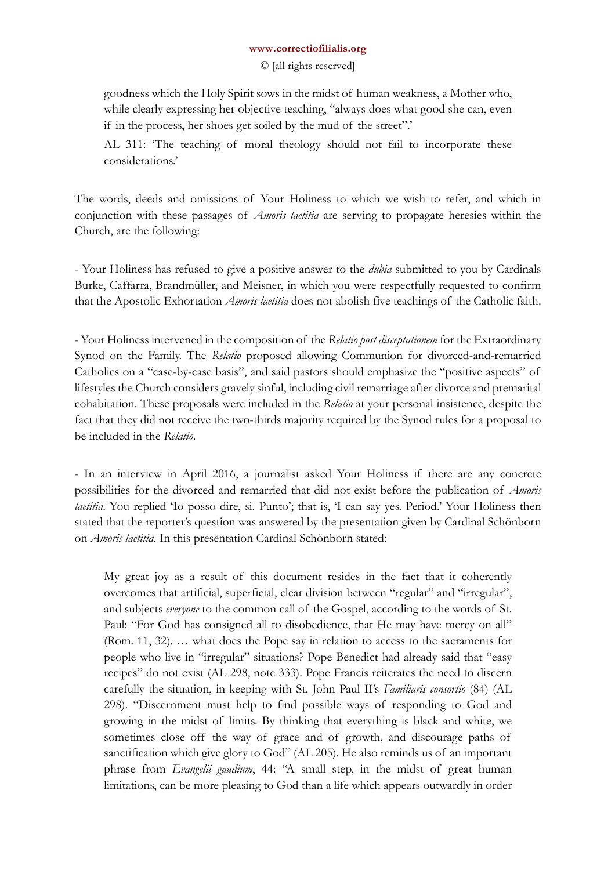© [all rights reserved]

goodness which the Holy Spirit sows in the midst of human weakness, a Mother who, while clearly expressing her objective teaching, "always does what good she can, even if in the process, her shoes get soiled by the mud of the street".'

AL 311: 'The teaching of moral theology should not fail to incorporate these considerations.'

The words, deeds and omissions of Your Holiness to which we wish to refer, and which in conjunction with these passages of *Amoris laetitia* are serving to propagate heresies within the Church, are the following:

- Your Holiness has refused to give a positive answer to the *dubia* submitted to you by Cardinals Burke, Caffarra, Brandmüller, and Meisner, in which you were respectfully requested to confirm that the Apostolic Exhortation *Amoris laetitia* does not abolish five teachings of the Catholic faith.

- Your Holiness intervened in the composition of the *Relatio post disceptationem* for the Extraordinary Synod on the Family. The *Relatio* proposed allowing Communion for divorced-and-remarried Catholics on a "case-by-case basis", and said pastors should emphasize the "positive aspects" of lifestyles the Church considers gravely sinful, including civil remarriage after divorce and premarital cohabitation. These proposals were included in the *Relatio* at your personal insistence, despite the fact that they did not receive the two-thirds majority required by the Synod rules for a proposal to be included in the *Relatio*.

- In an interview in April 2016, a journalist asked Your Holiness if there are any concrete possibilities for the divorced and remarried that did not exist before the publication of *Amoris laetitia*. You replied 'Io posso dire, si. Punto'; that is, 'I can say yes. Period.' Your Holiness then stated that the reporter's question was answered by the presentation given by Cardinal Schönborn on *Amoris laetitia*. In this presentation Cardinal Schönborn stated:

My great joy as a result of this document resides in the fact that it coherently overcomes that artificial, superficial, clear division between "regular" and "irregular", and subjects *everyone* to the common call of the Gospel, according to the words of St. Paul: "For God has consigned all to disobedience, that He may have mercy on all" (Rom. 11, 32). … what does the Pope say in relation to access to the sacraments for people who live in "irregular" situations? Pope Benedict had already said that "easy recipes" do not exist (AL 298, note 333). Pope Francis reiterates the need to discern carefully the situation, in keeping with St. John Paul II's *Familiaris consortio* (84) (AL 298). "Discernment must help to find possible ways of responding to God and growing in the midst of limits. By thinking that everything is black and white, we sometimes close off the way of grace and of growth, and discourage paths of sanctification which give glory to God" (AL 205). He also reminds us of an important phrase from *Evangelii gaudium*, 44: "A small step, in the midst of great human limitations, can be more pleasing to God than a life which appears outwardly in order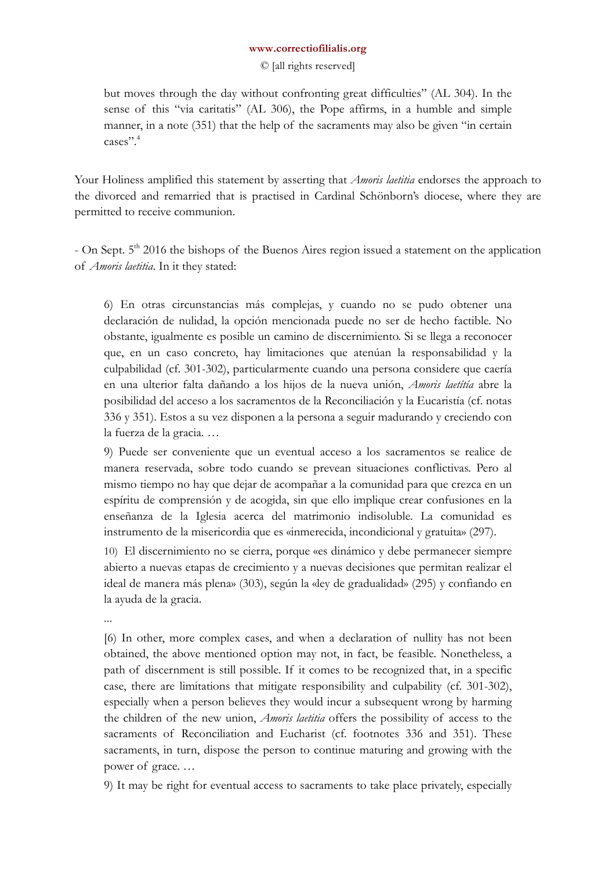© [all rights reserved]

but moves through the day without confronting great difficulties" (AL 304). In the sense of this "via caritatis" (AL 306), the Pope affirms, in a humble and simple manner, in a note (351) that the help of the sacraments may also be given "in certain cases".4

Your Holiness amplified this statement by asserting that *Amoris laetitia* endorses the approach to the divorced and remarried that is practised in Cardinal Schönborn's diocese, where they are permitted to receive communion.

 $\sim$  On Sept.  $5<sup>th</sup>$  2016 the bishops of the Buenos Aires region issued a statement on the application of *Amoris laetitia*. In it they stated:

6) En otras circunstancias más complejas, y cuando no se pudo obtener una declaración de nulidad, la opción mencionada puede no ser de hecho factible. No obstante, igualmente es posible un camino de discernimiento. Si se llega a reconocer que, en un caso concreto, hay limitaciones que atenúan la responsabilidad y la culpabilidad (cf. 301-302), particularmente cuando una persona considere que caería en una ulterior falta dañando a los hijos de la nueva unión, *Amoris laetítía* abre la posibilidad del acceso a los sacramentos de la Reconciliación y la Eucaristía (cf. notas 336 y 351). Estos a su vez disponen a la persona a seguir madurando y creciendo con la fuerza de la gracia. …

9) Puede ser conveniente que un eventual acceso a los sacramentos se realice de manera reservada, sobre todo cuando se prevean situaciones conflictivas. Pero al mismo tiempo no hay que dejar de acompañar a la comunidad para que crezca en un espíritu de comprensión y de acogida, sin que ello implique crear confusiones en la enseñanza de la Iglesia acerca del matrimonio indisoluble. La comunidad es instrumento de la misericordia que es «inmerecida, incondicional y gratuita» (297).

10) El discernimiento no se cierra, porque «es dinámico y debe permanecer siempre abierto a nuevas etapas de crecimiento y a nuevas decisiones que permitan realizar el ideal de manera más plena» (303), según la «ley de gradualidad» (295) y confiando en la ayuda de la gracia.

...

[6) In other, more complex cases, and when a declaration of nullity has not been obtained, the above mentioned option may not, in fact, be feasible. Nonetheless, a path of discernment is still possible. If it comes to be recognized that, in a specific case, there are limitations that mitigate responsibility and culpability (cf. 301-302), especially when a person believes they would incur a subsequent wrong by harming the children of the new union, *Amoris laetitia* offers the possibility of access to the sacraments of Reconciliation and Eucharist (cf. footnotes 336 and 351). These sacraments, in turn, dispose the person to continue maturing and growing with the power of grace. …

9) It may be right for eventual access to sacraments to take place privately, especially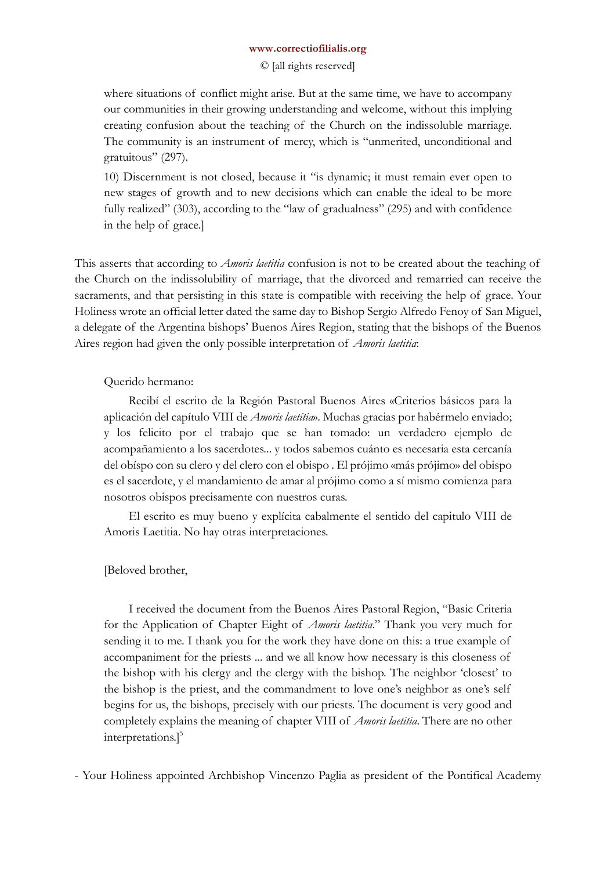© [all rights reserved]

where situations of conflict might arise. But at the same time, we have to accompany our communities in their growing understanding and welcome, without this implying creating confusion about the teaching of the Church on the indissoluble marriage. The community is an instrument of mercy, which is "unmerited, unconditional and gratuitous" (297).

10) Discernment is not closed, because it "is dynamic; it must remain ever open to new stages of growth and to new decisions which can enable the ideal to be more fully realized" (303), according to the "law of gradualness" (295) and with confidence in the help of grace.]

This asserts that according to *Amoris laetitia* confusion is not to be created about the teaching of the Church on the indissolubility of marriage, that the divorced and remarried can receive the sacraments, and that persisting in this state is compatible with receiving the help of grace. Your Holiness wrote an official letter dated the same day to Bishop Sergio Alfredo Fenoy of San Miguel, a delegate of the Argentina bishops' Buenos Aires Region, stating that the bishops of the Buenos Aires region had given the only possible interpretation of *Amoris laetitia*:

## Querido hermano:

 Recibí el escrito de la Región Pastoral Buenos Aires «Criterios básicos para la aplicación del capítulo VIII de *Amoris laetítia*». Muchas gracias por habérmelo enviado; y los felicito por el trabajo que se han tomado: un verdadero ejemplo de acompañamiento a los sacerdotes... y todos sabemos cuánto es necesaria esta cercanía del obíspo con su clero y del clero con el obispo . El prójimo «más prójimo» del obispo es el sacerdote, y el mandamiento de amar al prójimo como a sí mismo comienza para nosotros obispos precisamente con nuestros curas.

 El escrito es muy bueno y explícita cabalmente el sentido del capitulo VIII de Amoris Laetitia. No hay otras interpretaciones.

## [Beloved brother,

 I received the document from the Buenos Aires Pastoral Region, "Basic Criteria for the Application of Chapter Eight of *Amoris laetitia*." Thank you very much for sending it to me. I thank you for the work they have done on this: a true example of accompaniment for the priests ... and we all know how necessary is this closeness of the bishop with his clergy and the clergy with the bishop. The neighbor 'closest' to the bishop is the priest, and the commandment to love one's neighbor as one's self begins for us, the bishops, precisely with our priests. The document is very good and completely explains the meaning of chapter VIII of *Amoris laetitia*. There are no other interpretations.]<sup>5</sup>

- Your Holiness appointed Archbishop Vincenzo Paglia as president of the Pontifical Academy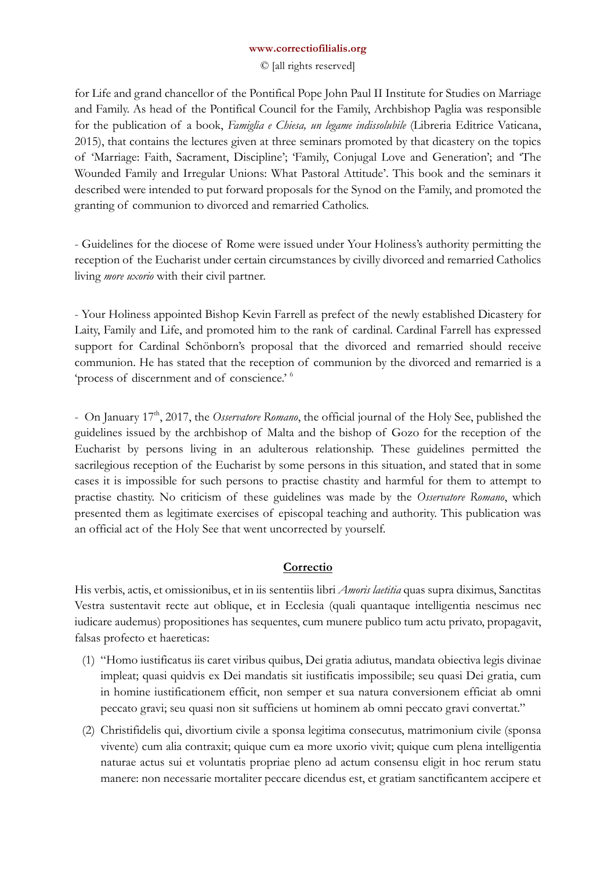© [all rights reserved]

for Life and grand chancellor of the Pontifical Pope John Paul II Institute for Studies on Marriage and Family. As head of the Pontifical Council for the Family, Archbishop Paglia was responsible for the publication of a book, *Famiglia e Chiesa, un legame indissolubile* (Libreria Editrice Vaticana, 2015), that contains the lectures given at three seminars promoted by that dicastery on the topics of 'Marriage: Faith, Sacrament, Discipline'; 'Family, Conjugal Love and Generation'; and 'The Wounded Family and Irregular Unions: What Pastoral Attitude'. This book and the seminars it described were intended to put forward proposals for the Synod on the Family, and promoted the granting of communion to divorced and remarried Catholics.

- Guidelines for the diocese of Rome were issued under Your Holiness's authority permitting the reception of the Eucharist under certain circumstances by civilly divorced and remarried Catholics living *more uxorio* with their civil partner.

- Your Holiness appointed Bishop Kevin Farrell as prefect of the newly established Dicastery for Laity, Family and Life, and promoted him to the rank of cardinal. Cardinal Farrell has expressed support for Cardinal Schönborn's proposal that the divorced and remarried should receive communion. He has stated that the reception of communion by the divorced and remarried is a 'process of discernment and of conscience.' <sup>6</sup>

- On January 17th, 2017, the *Osservatore Romano*, the official journal of the Holy See, published the guidelines issued by the archbishop of Malta and the bishop of Gozo for the reception of the Eucharist by persons living in an adulterous relationship. These guidelines permitted the sacrilegious reception of the Eucharist by some persons in this situation, and stated that in some cases it is impossible for such persons to practise chastity and harmful for them to attempt to practise chastity. No criticism of these guidelines was made by the *Osservatore Romano*, which presented them as legitimate exercises of episcopal teaching and authority. This publication was an official act of the Holy See that went uncorrected by yourself.

# **Correctio**

His verbis, actis, et omissionibus, et in iis sententiis libri *Amoris laetitia* quas supra diximus, Sanctitas Vestra sustentavit recte aut oblique, et in Ecclesia (quali quantaque intelligentia nescimus nec iudicare audemus) propositiones has sequentes, cum munere publico tum actu privato, propagavit, falsas profecto et haereticas:

- (1) "Homo iustificatus iis caret viribus quibus, Dei gratia adiutus, mandata obiectiva legis divinae impleat; quasi quidvis ex Dei mandatis sit iustificatis impossibile; seu quasi Dei gratia, cum in homine iustificationem efficit, non semper et sua natura conversionem efficiat ab omni peccato gravi; seu quasi non sit sufficiens ut hominem ab omni peccato gravi convertat."
- (2) Christifidelis qui, divortium civile a sponsa legitima consecutus, matrimonium civile (sponsa vivente) cum alia contraxit; quique cum ea more uxorio vivit; quique cum plena intelligentia naturae actus sui et voluntatis propriae pleno ad actum consensu eligit in hoc rerum statu manere: non necessarie mortaliter peccare dicendus est, et gratiam sanctificantem accipere et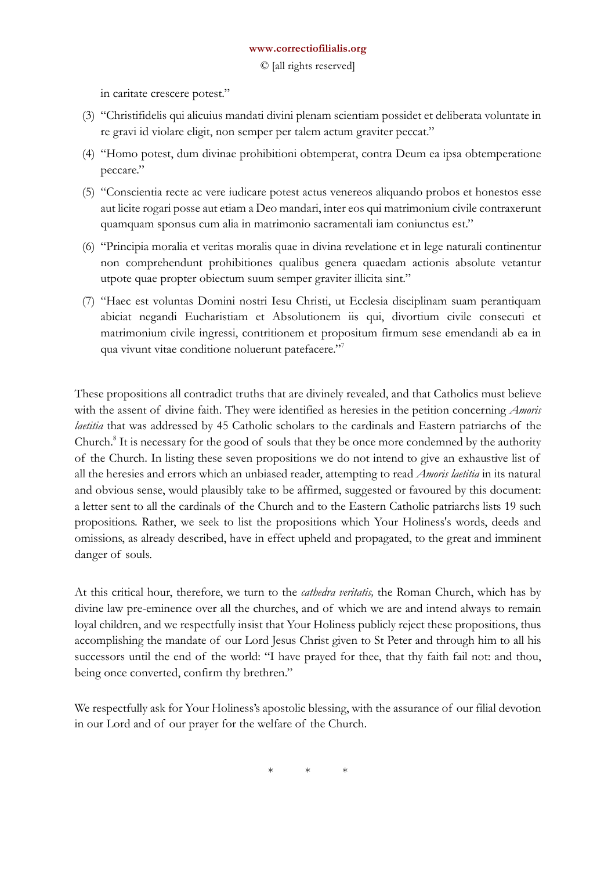in caritate crescere potest."

- (3) "Christifidelis qui alicuius mandati divini plenam scientiam possidet et deliberata voluntate in re gravi id violare eligit, non semper per talem actum graviter peccat."
- (4) "Homo potest, dum divinae prohibitioni obtemperat, contra Deum ea ipsa obtemperatione peccare."
- (5) "Conscientia recte ac vere iudicare potest actus venereos aliquando probos et honestos esse aut licite rogari posse aut etiam a Deo mandari, inter eos qui matrimonium civile contraxerunt quamquam sponsus cum alia in matrimonio sacramentali iam coniunctus est."
- (6) "Principia moralia et veritas moralis quae in divina revelatione et in lege naturali continentur non comprehendunt prohibitiones qualibus genera quaedam actionis absolute vetantur utpote quae propter obiectum suum semper graviter illicita sint."
- (7) "Haec est voluntas Domini nostri Iesu Christi, ut Ecclesia disciplinam suam perantiquam abiciat negandi Eucharistiam et Absolutionem iis qui, divortium civile consecuti et matrimonium civile ingressi, contritionem et propositum firmum sese emendandi ab ea in qua vivunt vitae conditione noluerunt patefacere."<sup>7</sup>

These propositions all contradict truths that are divinely revealed, and that Catholics must believe with the assent of divine faith. They were identified as heresies in the petition concerning *Amoris laetitia* that was addressed by 45 Catholic scholars to the cardinals and Eastern patriarchs of the Church.8 It is necessary for the good of souls that they be once more condemned by the authority of the Church. In listing these seven propositions we do not intend to give an exhaustive list of all the heresies and errors which an unbiased reader, attempting to read *Amoris laetitia* in its natural and obvious sense, would plausibly take to be affirmed, suggested or favoured by this document: a letter sent to all the cardinals of the Church and to the Eastern Catholic patriarchs lists 19 such propositions. Rather, we seek to list the propositions which Your Holiness's words, deeds and omissions, as already described, have in effect upheld and propagated, to the great and imminent danger of souls.

At this critical hour, therefore, we turn to the *cathedra veritatis,* the Roman Church, which has by divine law pre-eminence over all the churches, and of which we are and intend always to remain loyal children, and we respectfully insist that Your Holiness publicly reject these propositions, thus accomplishing the mandate of our Lord Jesus Christ given to St Peter and through him to all his successors until the end of the world: "I have prayed for thee, that thy faith fail not: and thou, being once converted, confirm thy brethren."

We respectfully ask for Your Holiness's apostolic blessing, with the assurance of our filial devotion in our Lord and of our prayer for the welfare of the Church.

\* \* \*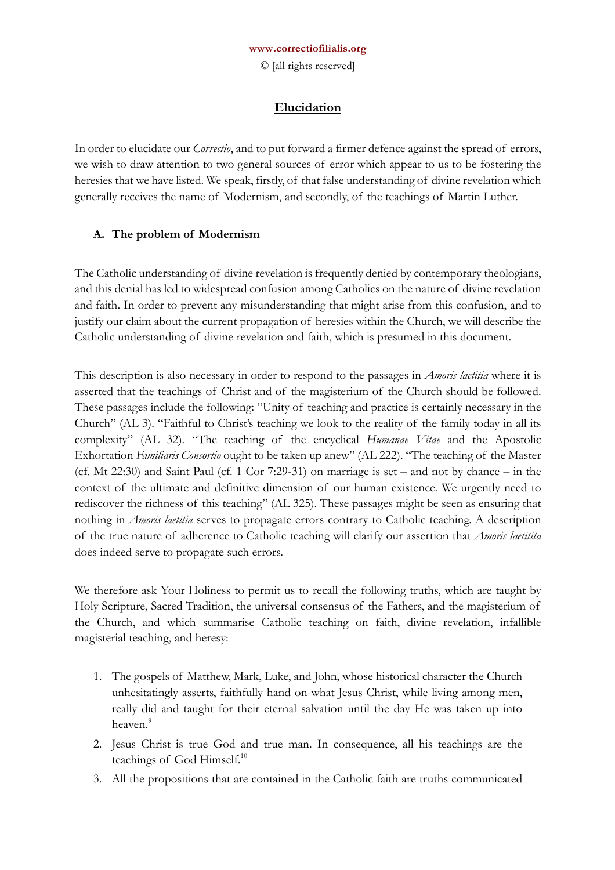© [all rights reserved]

# **Elucidation**

In order to elucidate our *Correctio*, and to put forward a firmer defence against the spread of errors, we wish to draw attention to two general sources of error which appear to us to be fostering the heresies that we have listed. We speak, firstly, of that false understanding of divine revelation which generally receives the name of Modernism, and secondly, of the teachings of Martin Luther.

# **A. The problem of Modernism**

The Catholic understanding of divine revelation is frequently denied by contemporary theologians, and this denial has led to widespread confusion among Catholics on the nature of divine revelation and faith. In order to prevent any misunderstanding that might arise from this confusion, and to justify our claim about the current propagation of heresies within the Church, we will describe the Catholic understanding of divine revelation and faith, which is presumed in this document.

This description is also necessary in order to respond to the passages in *Amoris laetitia* where it is asserted that the teachings of Christ and of the magisterium of the Church should be followed. These passages include the following: "Unity of teaching and practice is certainly necessary in the Church" (AL 3). "Faithful to Christ's teaching we look to the reality of the family today in all its complexity" (AL 32). "The teaching of the encyclical *Humanae Vitae* and the Apostolic Exhortation *Familiaris Consortio* ought to be taken up anew" (AL 222). "The teaching of the Master (cf. Mt 22:30) and Saint Paul (cf. 1 Cor 7:29-31) on marriage is set – and not by chance – in the context of the ultimate and definitive dimension of our human existence. We urgently need to rediscover the richness of this teaching" (AL 325). These passages might be seen as ensuring that nothing in *Amoris laetitia* serves to propagate errors contrary to Catholic teaching. A description of the true nature of adherence to Catholic teaching will clarify our assertion that *Amoris laetitita* does indeed serve to propagate such errors.

We therefore ask Your Holiness to permit us to recall the following truths, which are taught by Holy Scripture, Sacred Tradition, the universal consensus of the Fathers, and the magisterium of the Church, and which summarise Catholic teaching on faith, divine revelation, infallible magisterial teaching, and heresy:

- 1. The gospels of Matthew, Mark, Luke, and John, whose historical character the Church unhesitatingly asserts, faithfully hand on what Jesus Christ, while living among men, really did and taught for their eternal salvation until the day He was taken up into heaven.<sup>9</sup>
- 2. Jesus Christ is true God and true man. In consequence, all his teachings are the teachings of God Himself.<sup>10</sup>
- 3. All the propositions that are contained in the Catholic faith are truths communicated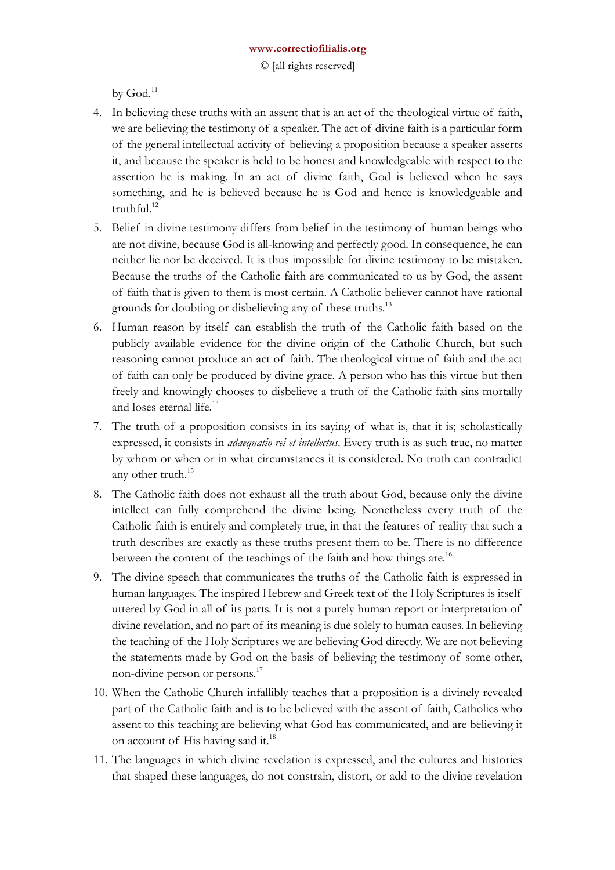by  $God.<sup>11</sup>$ 

- 4. In believing these truths with an assent that is an act of the theological virtue of faith, we are believing the testimony of a speaker. The act of divine faith is a particular form of the general intellectual activity of believing a proposition because a speaker asserts it, and because the speaker is held to be honest and knowledgeable with respect to the assertion he is making. In an act of divine faith, God is believed when he says something, and he is believed because he is God and hence is knowledgeable and truthful. $12$
- 5. Belief in divine testimony differs from belief in the testimony of human beings who are not divine, because God is all-knowing and perfectly good. In consequence, he can neither lie nor be deceived. It is thus impossible for divine testimony to be mistaken. Because the truths of the Catholic faith are communicated to us by God, the assent of faith that is given to them is most certain. A Catholic believer cannot have rational grounds for doubting or disbelieving any of these truths.13
- 6. Human reason by itself can establish the truth of the Catholic faith based on the publicly available evidence for the divine origin of the Catholic Church, but such reasoning cannot produce an act of faith. The theological virtue of faith and the act of faith can only be produced by divine grace. A person who has this virtue but then freely and knowingly chooses to disbelieve a truth of the Catholic faith sins mortally and loses eternal life.<sup>14</sup>
- 7. The truth of a proposition consists in its saying of what is, that it is; scholastically expressed, it consists in *adaequatio rei et intellectus*. Every truth is as such true, no matter by whom or when or in what circumstances it is considered. No truth can contradict any other truth.15
- 8. The Catholic faith does not exhaust all the truth about God, because only the divine intellect can fully comprehend the divine being. Nonetheless every truth of the Catholic faith is entirely and completely true, in that the features of reality that such a truth describes are exactly as these truths present them to be. There is no difference between the content of the teachings of the faith and how things are.<sup>16</sup>
- 9. The divine speech that communicates the truths of the Catholic faith is expressed in human languages. The inspired Hebrew and Greek text of the Holy Scriptures is itself uttered by God in all of its parts. It is not a purely human report or interpretation of divine revelation, and no part of its meaning is due solely to human causes. In believing the teaching of the Holy Scriptures we are believing God directly. We are not believing the statements made by God on the basis of believing the testimony of some other, non-divine person or persons.17
- 10. When the Catholic Church infallibly teaches that a proposition is a divinely revealed part of the Catholic faith and is to be believed with the assent of faith, Catholics who assent to this teaching are believing what God has communicated, and are believing it on account of His having said it.<sup>18</sup>
- 11. The languages in which divine revelation is expressed, and the cultures and histories that shaped these languages, do not constrain, distort, or add to the divine revelation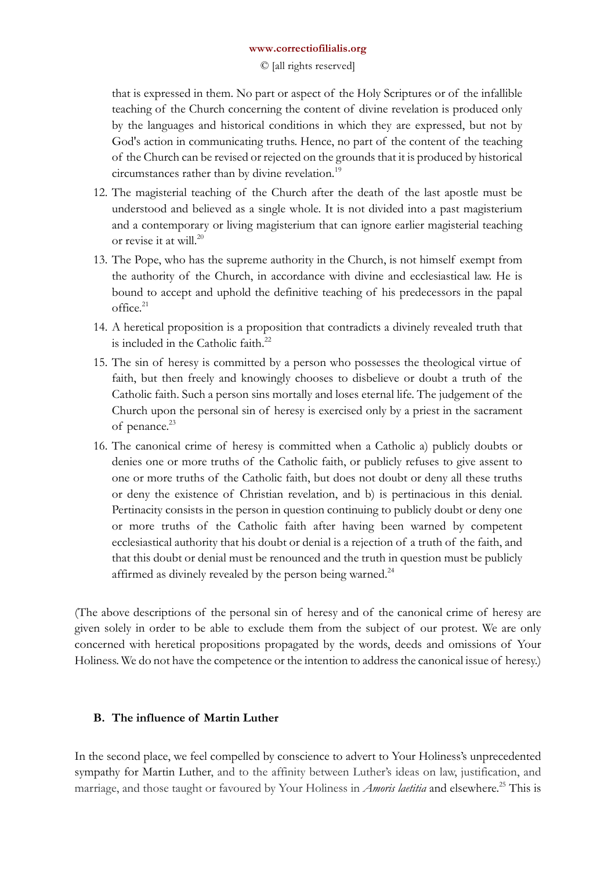© [all rights reserved]

that is expressed in them. No part or aspect of the Holy Scriptures or of the infallible teaching of the Church concerning the content of divine revelation is produced only by the languages and historical conditions in which they are expressed, but not by God's action in communicating truths. Hence, no part of the content of the teaching of the Church can be revised or rejected on the grounds that it is produced by historical circumstances rather than by divine revelation.<sup>19</sup>

- 12. The magisterial teaching of the Church after the death of the last apostle must be understood and believed as a single whole. It is not divided into a past magisterium and a contemporary or living magisterium that can ignore earlier magisterial teaching or revise it at will.<sup>20</sup>
- 13. The Pope, who has the supreme authority in the Church, is not himself exempt from the authority of the Church, in accordance with divine and ecclesiastical law. He is bound to accept and uphold the definitive teaching of his predecessors in the papal office.<sup>21</sup>
- 14. A heretical proposition is a proposition that contradicts a divinely revealed truth that is included in the Catholic faith.<sup>22</sup>
- 15. The sin of heresy is committed by a person who possesses the theological virtue of faith, but then freely and knowingly chooses to disbelieve or doubt a truth of the Catholic faith. Such a person sins mortally and loses eternal life. The judgement of the Church upon the personal sin of heresy is exercised only by a priest in the sacrament of penance.<sup>23</sup>
- 16. The canonical crime of heresy is committed when a Catholic a) publicly doubts or denies one or more truths of the Catholic faith, or publicly refuses to give assent to one or more truths of the Catholic faith, but does not doubt or deny all these truths or deny the existence of Christian revelation, and b) is pertinacious in this denial. Pertinacity consists in the person in question continuing to publicly doubt or deny one or more truths of the Catholic faith after having been warned by competent ecclesiastical authority that his doubt or denial is a rejection of a truth of the faith, and that this doubt or denial must be renounced and the truth in question must be publicly affirmed as divinely revealed by the person being warned. $^{24}$

(The above descriptions of the personal sin of heresy and of the canonical crime of heresy are given solely in order to be able to exclude them from the subject of our protest. We are only concerned with heretical propositions propagated by the words, deeds and omissions of Your Holiness. We do not have the competence or the intention to address the canonical issue of heresy.)

# **B. The influence of Martin Luther**

In the second place, we feel compelled by conscience to advert to Your Holiness's unprecedented sympathy for Martin Luther, and to the affinity between Luther's ideas on law, justification, and marriage, and those taught or favoured by Your Holiness in *Amoris laetitia* and elsewhere.<sup>25</sup> This is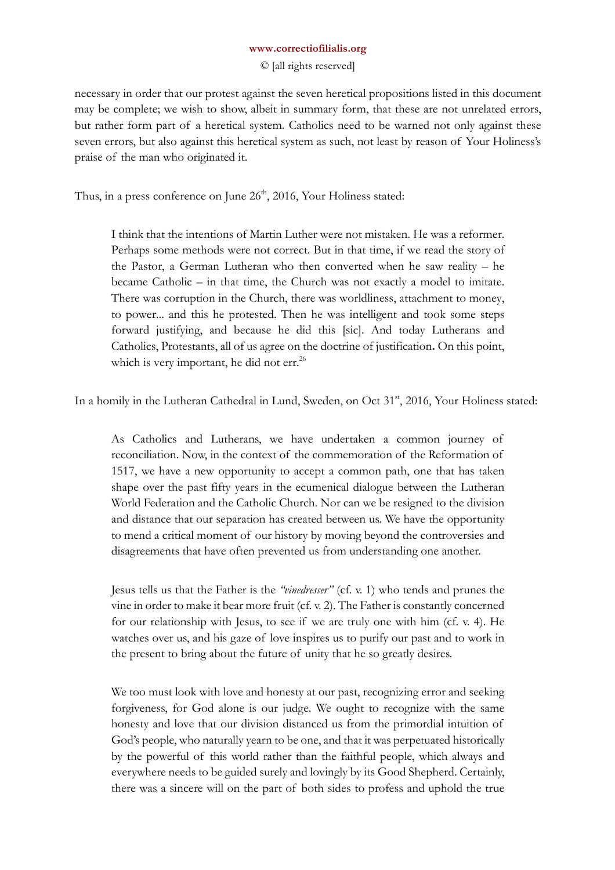© [all rights reserved]

necessary in order that our protest against the seven heretical propositions listed in this document may be complete; we wish to show, albeit in summary form, that these are not unrelated errors, but rather form part of a heretical system. Catholics need to be warned not only against these seven errors, but also against this heretical system as such, not least by reason of Your Holiness's praise of the man who originated it.

Thus, in a press conference on June 26<sup>th</sup>, 2016, Your Holiness stated:

I think that the intentions of Martin Luther were not mistaken. He was a reformer. Perhaps some methods were not correct. But in that time, if we read the story of the Pastor, a German Lutheran who then converted when he saw reality – he became Catholic – in that time, the Church was not exactly a model to imitate. There was corruption in the Church, there was worldliness, attachment to money, to power... and this he protested. Then he was intelligent and took some steps forward justifying, and because he did this [sic]. And today Lutherans and Catholics, Protestants, all of us agree on the doctrine of justification**.** On this point, which is very important, he did not err. $^{26}$ 

In a homily in the Lutheran Cathedral in Lund, Sweden, on Oct 31<sup>st</sup>, 2016, Your Holiness stated:

As Catholics and Lutherans, we have undertaken a common journey of reconciliation. Now, in the context of the commemoration of the Reformation of 1517, we have a new opportunity to accept a common path, one that has taken shape over the past fifty years in the ecumenical dialogue between the Lutheran World Federation and the Catholic Church. Nor can we be resigned to the division and distance that our separation has created between us. We have the opportunity to mend a critical moment of our history by moving beyond the controversies and disagreements that have often prevented us from understanding one another.

Jesus tells us that the Father is the *"vinedresser"* (cf. v. 1) who tends and prunes the vine in order to make it bear more fruit (cf. v. 2). The Father is constantly concerned for our relationship with Jesus, to see if we are truly one with him (cf. v. 4). He watches over us, and his gaze of love inspires us to purify our past and to work in the present to bring about the future of unity that he so greatly desires.

We too must look with love and honesty at our past, recognizing error and seeking forgiveness, for God alone is our judge. We ought to recognize with the same honesty and love that our division distanced us from the primordial intuition of God's people, who naturally yearn to be one, and that it was perpetuated historically by the powerful of this world rather than the faithful people, which always and everywhere needs to be guided surely and lovingly by its Good Shepherd. Certainly, there was a sincere will on the part of both sides to profess and uphold the true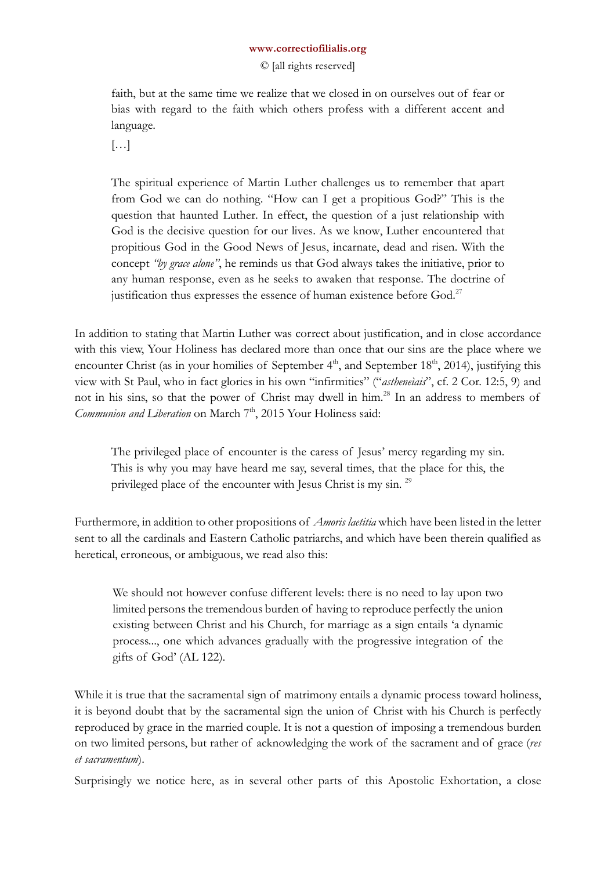© [all rights reserved]

faith, but at the same time we realize that we closed in on ourselves out of fear or bias with regard to the faith which others profess with a different accent and language.

 $\left[\ldots\right]$ 

The spiritual experience of Martin Luther challenges us to remember that apart from God we can do nothing. "How can I get a propitious God?" This is the question that haunted Luther. In effect, the question of a just relationship with God is the decisive question for our lives. As we know, Luther encountered that propitious God in the Good News of Jesus, incarnate, dead and risen. With the concept *"by grace alone"*, he reminds us that God always takes the initiative, prior to any human response, even as he seeks to awaken that response. The doctrine of justification thus expresses the essence of human existence before God.<sup>27</sup>

In addition to stating that Martin Luther was correct about justification, and in close accordance with this view, Your Holiness has declared more than once that our sins are the place where we encounter Christ (as in your homilies of September 4<sup>th</sup>, and September 18<sup>th</sup>, 2014), justifying this view with St Paul, who in fact glories in his own "infirmities" ("*astheneìais*", cf. 2 Cor. 12:5, 9) and not in his sins, so that the power of Christ may dwell in him.28 In an address to members of *Communion and Liberation* on March 7<sup>th</sup>, 2015 Your Holiness said:

The privileged place of encounter is the caress of Jesus' mercy regarding my sin. This is why you may have heard me say, several times, that the place for this, the privileged place of the encounter with Jesus Christ is my sin. <sup>29</sup>

Furthermore, in addition to other propositions of *Amoris laetitia* which have been listed in the letter sent to all the cardinals and Eastern Catholic patriarchs, and which have been therein qualified as heretical, erroneous, or ambiguous, we read also this:

We should not however confuse different levels: there is no need to lay upon two limited persons the tremendous burden of having to reproduce perfectly the union existing between Christ and his Church, for marriage as a sign entails 'a dynamic process..., one which advances gradually with the progressive integration of the gifts of God' (AL 122).

While it is true that the sacramental sign of matrimony entails a dynamic process toward holiness, it is beyond doubt that by the sacramental sign the union of Christ with his Church is perfectly reproduced by grace in the married couple. It is not a question of imposing a tremendous burden on two limited persons, but rather of acknowledging the work of the sacrament and of grace (*res et sacramentum*).

Surprisingly we notice here, as in several other parts of this Apostolic Exhortation, a close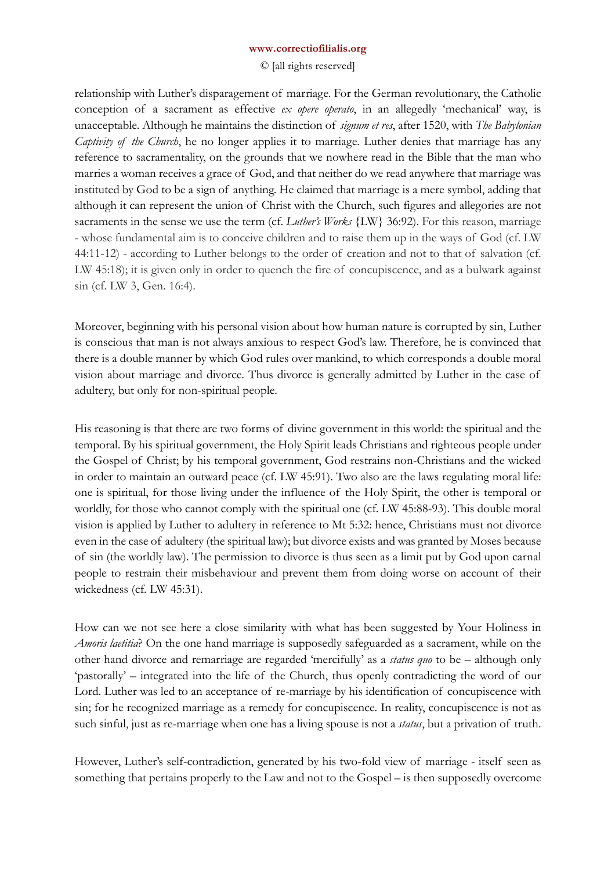© [all rights reserved]

relationship with Luther's disparagement of marriage. For the German revolutionary, the Catholic conception of a sacrament as effective *ex opere operato*, in an allegedly 'mechanical' way, is unacceptable. Although he maintains the distinction of *signum et res*, after 1520, with *The Babylonian Captivity of the Church*, he no longer applies it to marriage. Luther denies that marriage has any reference to sacramentality, on the grounds that we nowhere read in the Bible that the man who marries a woman receives a grace of God, and that neither do we read anywhere that marriage was instituted by God to be a sign of anything. He claimed that marriage is a mere symbol, adding that although it can represent the union of Christ with the Church, such figures and allegories are not sacraments in the sense we use the term (cf. *Luther's Works* {LW} 36:92). For this reason, marriage - whose fundamental aim is to conceive children and to raise them up in the ways of God (cf. LW 44:11-12) - according to Luther belongs to the order of creation and not to that of salvation (cf. LW 45:18); it is given only in order to quench the fire of concupiscence, and as a bulwark against sin (cf. LW 3, Gen. 16:4).

Moreover, beginning with his personal vision about how human nature is corrupted by sin, Luther is conscious that man is not always anxious to respect God's law. Therefore, he is convinced that there is a double manner by which God rules over mankind, to which corresponds a double moral vision about marriage and divorce. Thus divorce is generally admitted by Luther in the case of adultery, but only for non-spiritual people.

His reasoning is that there are two forms of divine government in this world: the spiritual and the temporal. By his spiritual government, the Holy Spirit leads Christians and righteous people under the Gospel of Christ; by his temporal government, God restrains non-Christians and the wicked in order to maintain an outward peace (cf. LW 45:91). Two also are the laws regulating moral life: one is spiritual, for those living under the influence of the Holy Spirit, the other is temporal or worldly, for those who cannot comply with the spiritual one (cf. LW 45:88-93). This double moral vision is applied by Luther to adultery in reference to Mt 5:32: hence, Christians must not divorce even in the case of adultery (the spiritual law); but divorce exists and was granted by Moses because of sin (the worldly law). The permission to divorce is thus seen as a limit put by God upon carnal people to restrain their misbehaviour and prevent them from doing worse on account of their wickedness (cf. LW 45:31).

How can we not see here a close similarity with what has been suggested by Your Holiness in *Amoris laetitia*? On the one hand marriage is supposedly safeguarded as a sacrament, while on the other hand divorce and remarriage are regarded 'mercifully' as a *status quo* to be – although only 'pastorally' – integrated into the life of the Church, thus openly contradicting the word of our Lord. Luther was led to an acceptance of re-marriage by his identification of concupiscence with sin; for he recognized marriage as a remedy for concupiscence. In reality, concupiscence is not as such sinful, just as re-marriage when one has a living spouse is not a *status*, but a privation of truth.

However, Luther's self-contradiction, generated by his two-fold view of marriage - itself seen as something that pertains properly to the Law and not to the Gospel – is then supposedly overcome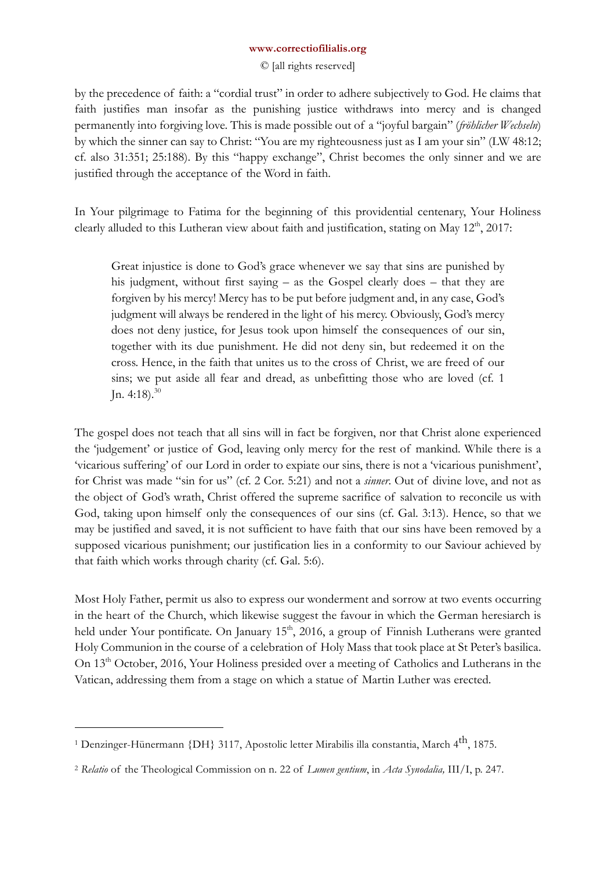© [all rights reserved]

by the precedence of faith: a "cordial trust" in order to adhere subjectively to God. He claims that faith justifies man insofar as the punishing justice withdraws into mercy and is changed permanently into forgiving love. This is made possible out of a "joyful bargain" (*fröhlicher Wechseln*) by which the sinner can say to Christ: "You are my righteousness just as I am your sin" (LW 48:12; cf. also 31:351; 25:188). By this "happy exchange", Christ becomes the only sinner and we are justified through the acceptance of the Word in faith.

In Your pilgrimage to Fatima for the beginning of this providential centenary, Your Holiness clearly alluded to this Lutheran view about faith and justification, stating on May  $12<sup>th</sup>$ ,  $2017$ :

Great injustice is done to God's grace whenever we say that sins are punished by his judgment, without first saying – as the Gospel clearly does – that they are forgiven by his mercy! Mercy has to be put before judgment and, in any case, God's judgment will always be rendered in the light of his mercy. Obviously, God's mercy does not deny justice, for Jesus took upon himself the consequences of our sin, together with its due punishment. He did not deny sin, but redeemed it on the cross. Hence, in the faith that unites us to the cross of Christ, we are freed of our sins; we put aside all fear and dread, as unbefitting those who are loved (cf. 1 In.  $4:18$ .  $30$ 

The gospel does not teach that all sins will in fact be forgiven, nor that Christ alone experienced the 'judgement' or justice of God, leaving only mercy for the rest of mankind. While there is a 'vicarious suffering' of our Lord in order to expiate our sins, there is not a 'vicarious punishment', for Christ was made "sin for us" (cf. 2 Cor. 5:21) and not a *sinner*. Out of divine love, and not as the object of God's wrath, Christ offered the supreme sacrifice of salvation to reconcile us with God, taking upon himself only the consequences of our sins (cf. Gal. 3:13). Hence, so that we may be justified and saved, it is not sufficient to have faith that our sins have been removed by a supposed vicarious punishment; our justification lies in a conformity to our Saviour achieved by that faith which works through charity (cf. Gal. 5:6).

Most Holy Father, permit us also to express our wonderment and sorrow at two events occurring in the heart of the Church, which likewise suggest the favour in which the German heresiarch is held under Your pontificate. On January 15<sup>th</sup>, 2016, a group of Finnish Lutherans were granted Holy Communion in the course of a celebration of Holy Mass that took place at St Peter's basilica. On 13<sup>th</sup> October, 2016, Your Holiness presided over a meeting of Catholics and Lutherans in the Vatican, addressing them from a stage on which a statue of Martin Luther was erected.

 

<sup>&</sup>lt;sup>1</sup> Denzinger-Hünermann {DH} 3117, Apostolic letter Mirabilis illa constantia, March 4<sup>th</sup>, 1875.

<sup>2</sup> *Relatio* of the Theological Commission on n. 22 of *Lumen gentium*, in *Acta Synodalia,* III/I, p. 247.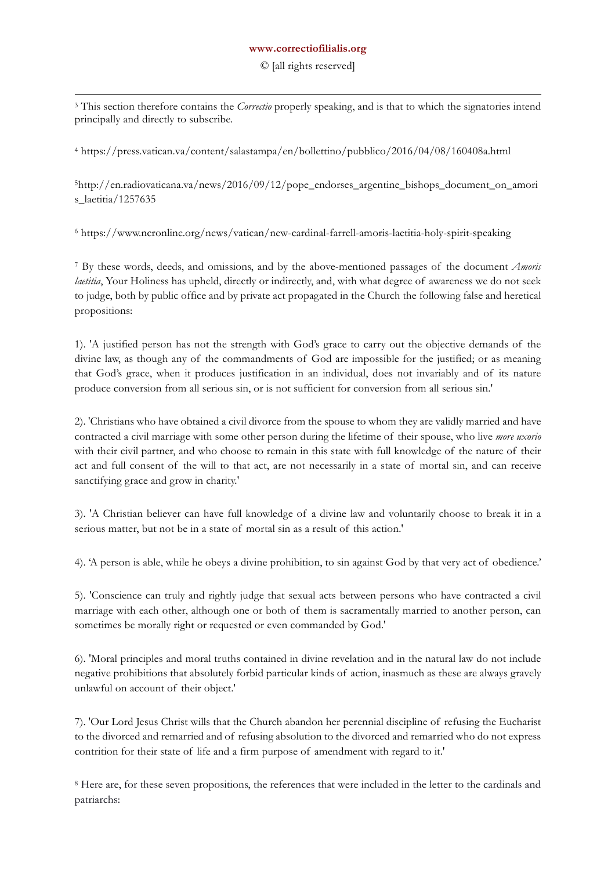<u> 1989 - Andrea Santa Andrea Andrea Andrea Andrea Andrea Andrea Andrea Andrea Andrea Andrea Andrea Andrea Andr</u> <sup>3</sup> This section therefore contains the *Correctio* properly speaking, and is that to which the signatories intend principally and directly to subscribe.

<sup>4</sup> https://press.vatican.va/content/salastampa/en/bollettino/pubblico/2016/04/08/160408a.html

5http://en.radiovaticana.va/news/2016/09/12/pope\_endorses\_argentine\_bishops\_document\_on\_amori s\_laetitia/1257635

<sup>6</sup> https://www.ncronline.org/news/vatican/new-cardinal-farrell-amoris-laetitia-holy-spirit-speaking

<sup>7</sup> By these words, deeds, and omissions, and by the above-mentioned passages of the document *Amoris laetitia*, Your Holiness has upheld, directly or indirectly, and, with what degree of awareness we do not seek to judge, both by public office and by private act propagated in the Church the following false and heretical propositions:

1). 'A justified person has not the strength with God's grace to carry out the objective demands of the divine law, as though any of the commandments of God are impossible for the justified; or as meaning that God's grace, when it produces justification in an individual, does not invariably and of its nature produce conversion from all serious sin, or is not sufficient for conversion from all serious sin.'

2). 'Christians who have obtained a civil divorce from the spouse to whom they are validly married and have contracted a civil marriage with some other person during the lifetime of their spouse, who live *more uxorio*  with their civil partner, and who choose to remain in this state with full knowledge of the nature of their act and full consent of the will to that act, are not necessarily in a state of mortal sin, and can receive sanctifying grace and grow in charity.'

3). 'A Christian believer can have full knowledge of a divine law and voluntarily choose to break it in a serious matter, but not be in a state of mortal sin as a result of this action.'

4). 'A person is able, while he obeys a divine prohibition, to sin against God by that very act of obedience.'

5). 'Conscience can truly and rightly judge that sexual acts between persons who have contracted a civil marriage with each other, although one or both of them is sacramentally married to another person, can sometimes be morally right or requested or even commanded by God.'

6). 'Moral principles and moral truths contained in divine revelation and in the natural law do not include negative prohibitions that absolutely forbid particular kinds of action, inasmuch as these are always gravely unlawful on account of their object.'

7). 'Our Lord Jesus Christ wills that the Church abandon her perennial discipline of refusing the Eucharist to the divorced and remarried and of refusing absolution to the divorced and remarried who do not express contrition for their state of life and a firm purpose of amendment with regard to it.'

<sup>8</sup> Here are, for these seven propositions, the references that were included in the letter to the cardinals and patriarchs: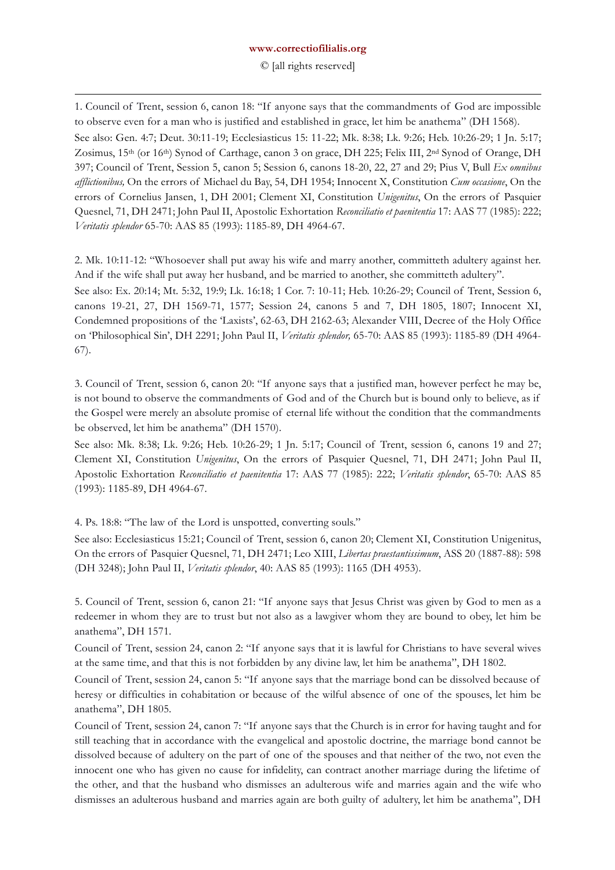© [all rights reserved]

<u> 1989 - Andrea Santa Andrea Andrea Andrea Andrea Andrea Andrea Andrea Andrea Andrea Andrea Andrea Andrea Andr</u>

1. Council of Trent, session 6, canon 18: "If anyone says that the commandments of God are impossible to observe even for a man who is justified and established in grace, let him be anathema" (DH 1568). See also: Gen. 4:7; Deut. 30:11-19; Ecclesiasticus 15: 11-22; Mk. 8:38; Lk. 9:26; Heb. 10:26-29; 1 Jn. 5:17; Zosimus, 15<sup>th</sup> (or 16<sup>th</sup>) Synod of Carthage, canon 3 on grace, DH 225; Felix III, 2<sup>nd</sup> Synod of Orange, DH 397; Council of Trent, Session 5, canon 5; Session 6, canons 18-20, 22, 27 and 29; Pius V, Bull *Ex omnibus afflictionibus,* On the errors of Michael du Bay, 54, DH 1954; Innocent X, Constitution *Cum occasione*, On the errors of Cornelius Jansen, 1, DH 2001; Clement XI, Constitution *Unigenitus*, On the errors of Pasquier Quesnel, 71, DH 2471; John Paul II, Apostolic Exhortation *Reconciliatio et paenitentia* 17: AAS 77 (1985): 222; *Veritatis splendor* 65-70: AAS 85 (1993): 1185-89, DH 4964-67.

2. Mk. 10:11-12: "Whosoever shall put away his wife and marry another, committeth adultery against her. And if the wife shall put away her husband, and be married to another, she committeth adultery". See also: Ex. 20:14; Mt. 5:32, 19:9; Lk. 16:18; 1 Cor. 7: 10-11; Heb. 10:26-29; Council of Trent, Session 6, canons 19-21, 27, DH 1569-71, 1577; Session 24, canons 5 and 7, DH 1805, 1807; Innocent XI, Condemned propositions of the 'Laxists', 62-63, DH 2162-63; Alexander VIII, Decree of the Holy Office on 'Philosophical Sin', DH 2291; John Paul II, *Veritatis splendor,* 65-70: AAS 85 (1993): 1185-89 (DH 4964- 67).

3. Council of Trent, session 6, canon 20: "If anyone says that a justified man, however perfect he may be, is not bound to observe the commandments of God and of the Church but is bound only to believe, as if the Gospel were merely an absolute promise of eternal life without the condition that the commandments be observed, let him be anathema" (DH 1570).

See also: Mk. 8:38; Lk. 9:26; Heb. 10:26-29; 1 Jn. 5:17; Council of Trent, session 6, canons 19 and 27; Clement XI, Constitution *Unigenitus*, On the errors of Pasquier Quesnel, 71, DH 2471; John Paul II, Apostolic Exhortation *Reconciliatio et paenitentia* 17: AAS 77 (1985): 222; *Veritatis splendor*, 65-70: AAS 85 (1993): 1185-89, DH 4964-67.

4. Ps. 18:8: "The law of the Lord is unspotted, converting souls."

See also: Ecclesiasticus 15:21; Council of Trent, session 6, canon 20; Clement XI, Constitution Unigenitus, On the errors of Pasquier Quesnel, 71, DH 2471; Leo XIII, *Libertas praestantissimum*, ASS 20 (1887-88): 598 (DH 3248); John Paul II, *Veritatis splendor*, 40: AAS 85 (1993): 1165 (DH 4953).

5. Council of Trent, session 6, canon 21: "If anyone says that Jesus Christ was given by God to men as a redeemer in whom they are to trust but not also as a lawgiver whom they are bound to obey, let him be anathema", DH 1571.

Council of Trent, session 24, canon 2: "If anyone says that it is lawful for Christians to have several wives at the same time, and that this is not forbidden by any divine law, let him be anathema", DH 1802.

Council of Trent, session 24, canon 5: "If anyone says that the marriage bond can be dissolved because of heresy or difficulties in cohabitation or because of the wilful absence of one of the spouses, let him be anathema", DH 1805.

Council of Trent, session 24, canon 7: "If anyone says that the Church is in error for having taught and for still teaching that in accordance with the evangelical and apostolic doctrine, the marriage bond cannot be dissolved because of adultery on the part of one of the spouses and that neither of the two, not even the innocent one who has given no cause for infidelity, can contract another marriage during the lifetime of the other, and that the husband who dismisses an adulterous wife and marries again and the wife who dismisses an adulterous husband and marries again are both guilty of adultery, let him be anathema", DH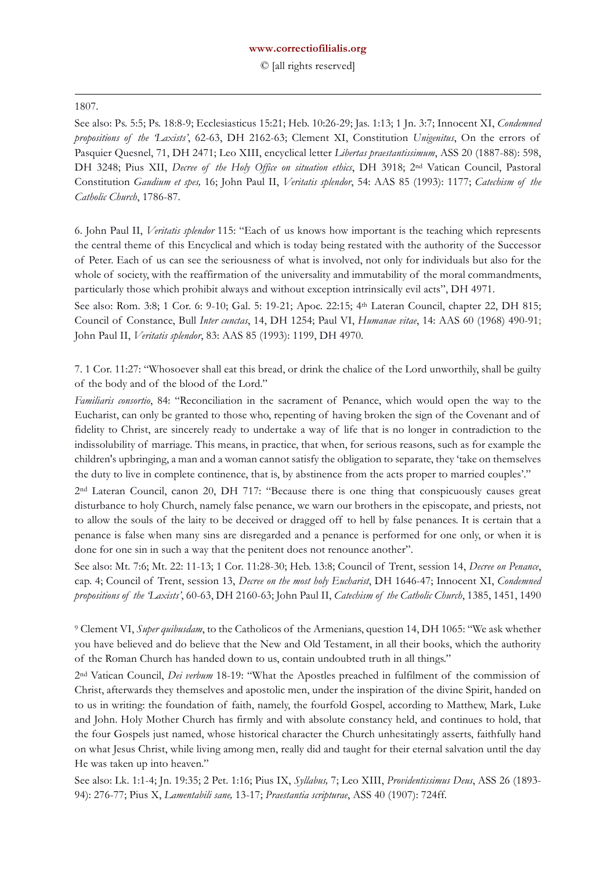<u> 1989 - Andrea Santa Andrea Andrea Andrea Andrea Andrea Andrea Andrea Andrea Andrea Andrea Andrea Andrea Andr</u>

#### 1807.

See also: Ps. 5:5; Ps. 18:8-9; Ecclesiasticus 15:21; Heb. 10:26-29; Jas. 1:13; 1 Jn. 3:7; Innocent XI, *Condemned propositions of the 'Laxists'*, 62-63, DH 2162-63; Clement XI, Constitution *Unigenitus*, On the errors of Pasquier Quesnel, 71, DH 2471; Leo XIII, encyclical letter *Libertas praestantissimum*, ASS 20 (1887-88): 598, DH 3248; Pius XII, *Decree of the Holy Office on situation ethics*, DH 3918; 2nd Vatican Council, Pastoral Constitution *Gaudium et spes,* 16; John Paul II, *Veritatis splendor*, 54: AAS 85 (1993): 1177; *Catechism of the Catholic Church*, 1786-87.

6. John Paul II, *Veritatis splendor* 115: "Each of us knows how important is the teaching which represents the central theme of this Encyclical and which is today being restated with the authority of the Successor of Peter. Each of us can see the seriousness of what is involved, not only for individuals but also for the whole of society, with the reaffirmation of the universality and immutability of the moral commandments, particularly those which prohibit always and without exception intrinsically evil acts", DH 4971.

See also: Rom. 3:8; 1 Cor. 6: 9-10; Gal. 5: 19-21; Apoc. 22:15; 4th Lateran Council, chapter 22, DH 815; Council of Constance, Bull *Inter cunctas*, 14, DH 1254; Paul VI, *Humanae vitae*, 14: AAS 60 (1968) 490-91; John Paul II, *Veritatis splendor*, 83: AAS 85 (1993): 1199, DH 4970.

7. 1 Cor. 11:27: "Whosoever shall eat this bread, or drink the chalice of the Lord unworthily, shall be guilty of the body and of the blood of the Lord."

*Familiaris consortio*, 84: "Reconciliation in the sacrament of Penance, which would open the way to the Eucharist, can only be granted to those who, repenting of having broken the sign of the Covenant and of fidelity to Christ, are sincerely ready to undertake a way of life that is no longer in contradiction to the indissolubility of marriage. This means, in practice, that when, for serious reasons, such as for example the children's upbringing, a man and a woman cannot satisfy the obligation to separate, they 'take on themselves the duty to live in complete continence, that is, by abstinence from the acts proper to married couples'."

2nd Lateran Council, canon 20, DH 717: "Because there is one thing that conspicuously causes great disturbance to holy Church, namely false penance, we warn our brothers in the episcopate, and priests, not to allow the souls of the laity to be deceived or dragged off to hell by false penances. It is certain that a penance is false when many sins are disregarded and a penance is performed for one only, or when it is done for one sin in such a way that the penitent does not renounce another".

See also: Mt. 7:6; Mt. 22: 11-13; 1 Cor. 11:28-30; Heb. 13:8; Council of Trent, session 14, *Decree on Penance*, cap. 4; Council of Trent, session 13, *Decree on the most holy Eucharist*, DH 1646-47; Innocent XI, *Condemned propositions of the 'Laxists'*, 60-63, DH 2160-63; John Paul II, *Catechism of the Catholic Church*, 1385, 1451, 1490

<sup>9</sup> Clement VI, *Super quibusdam*, to the Catholicos of the Armenians, question 14, DH 1065: "We ask whether you have believed and do believe that the New and Old Testament, in all their books, which the authority of the Roman Church has handed down to us, contain undoubted truth in all things."

2nd Vatican Council, *Dei verbum* 18-19: "What the Apostles preached in fulfilment of the commission of Christ, afterwards they themselves and apostolic men, under the inspiration of the divine Spirit, handed on to us in writing: the foundation of faith, namely, the fourfold Gospel, according to Matthew, Mark, Luke and John. Holy Mother Church has firmly and with absolute constancy held, and continues to hold, that the four Gospels just named, whose historical character the Church unhesitatingly asserts, faithfully hand on what Jesus Christ, while living among men, really did and taught for their eternal salvation until the day He was taken up into heaven."

See also: Lk. 1:1-4; Jn. 19:35; 2 Pet. 1:16; Pius IX, *Syllabus,* 7; Leo XIII, *Providentissimus Deus*, ASS 26 (1893- 94): 276-77; Pius X, *Lamentabili sane,* 13-17; *Praestantia scripturae*, ASS 40 (1907): 724ff.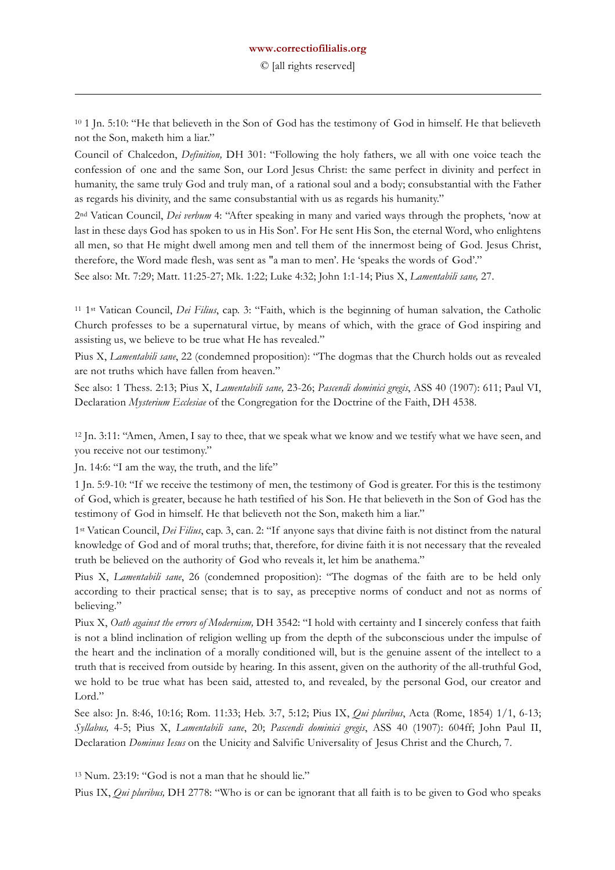<sup>10</sup> 1 Jn. 5:10: "He that believeth in the Son of God has the testimony of God in himself. He that believeth not the Son, maketh him a liar."

<u> 1989 - Andrea Santa Andrea Andrea Andrea Andrea Andrea Andrea Andrea Andrea Andrea Andrea Andrea Andrea Andr</u>

Council of Chalcedon, *Definition,* DH 301: "Following the holy fathers, we all with one voice teach the confession of one and the same Son, our Lord Jesus Christ: the same perfect in divinity and perfect in humanity, the same truly God and truly man, of a rational soul and a body; consubstantial with the Father as regards his divinity, and the same consubstantial with us as regards his humanity."

2nd Vatican Council, *Dei verbum* 4: "After speaking in many and varied ways through the prophets, 'now at last in these days God has spoken to us in His Son'. For He sent His Son, the eternal Word, who enlightens all men, so that He might dwell among men and tell them of the innermost being of God. Jesus Christ, therefore, the Word made flesh, was sent as "a man to men'. He 'speaks the words of God'."

See also: Mt. 7:29; Matt. 11:25-27; Mk. 1:22; Luke 4:32; John 1:1-14; Pius X, *Lamentabili sane,* 27.

<sup>11</sup> 1st Vatican Council, *Dei Filius*, cap. 3: "Faith, which is the beginning of human salvation, the Catholic Church professes to be a supernatural virtue, by means of which, with the grace of God inspiring and assisting us, we believe to be true what He has revealed."

Pius X, *Lamentabili sane*, 22 (condemned proposition): "The dogmas that the Church holds out as revealed are not truths which have fallen from heaven."

See also: 1 Thess. 2:13; Pius X, *Lamentabili sane,* 23-26; *Pascendi dominici gregis*, ASS 40 (1907): 611; Paul VI, Declaration *Mysterium Ecclesiae* of the Congregation for the Doctrine of the Faith, DH 4538.

<sup>12</sup> Jn. 3:11: "Amen, Amen, I say to thee, that we speak what we know and we testify what we have seen, and you receive not our testimony."

Jn. 14:6: "I am the way, the truth, and the life"

1 Jn. 5:9-10: "If we receive the testimony of men, the testimony of God is greater. For this is the testimony of God, which is greater, because he hath testified of his Son. He that believeth in the Son of God has the testimony of God in himself. He that believeth not the Son, maketh him a liar."

1st Vatican Council, *Dei Filius*, cap. 3, can. 2: "If anyone says that divine faith is not distinct from the natural knowledge of God and of moral truths; that, therefore, for divine faith it is not necessary that the revealed truth be believed on the authority of God who reveals it, let him be anathema."

Pius X, *Lamentabili sane*, 26 (condemned proposition): "The dogmas of the faith are to be held only according to their practical sense; that is to say, as preceptive norms of conduct and not as norms of believing."

Piux X, *Oath against the errors of Modernism,* DH 3542: "I hold with certainty and I sincerely confess that faith is not a blind inclination of religion welling up from the depth of the subconscious under the impulse of the heart and the inclination of a morally conditioned will, but is the genuine assent of the intellect to a truth that is received from outside by hearing. In this assent, given on the authority of the all-truthful God, we hold to be true what has been said, attested to, and revealed, by the personal God, our creator and Lord."

See also: Jn. 8:46, 10:16; Rom. 11:33; Heb. 3:7, 5:12; Pius IX, *Qui pluribus*, Acta (Rome, 1854) 1/1, 6-13; *Syllabus,* 4-5; Pius X, *Lamentabili sane*, 20; *Pascendi dominici gregis*, ASS 40 (1907): 604ff; John Paul II, Declaration *Dominus Iesus* on the Unicity and Salvific Universality of Jesus Christ and the Church*,* 7.

<sup>13</sup> Num. 23:19: "God is not a man that he should lie."

Pius IX, *Qui pluribus,* DH 2778: "Who is or can be ignorant that all faith is to be given to God who speaks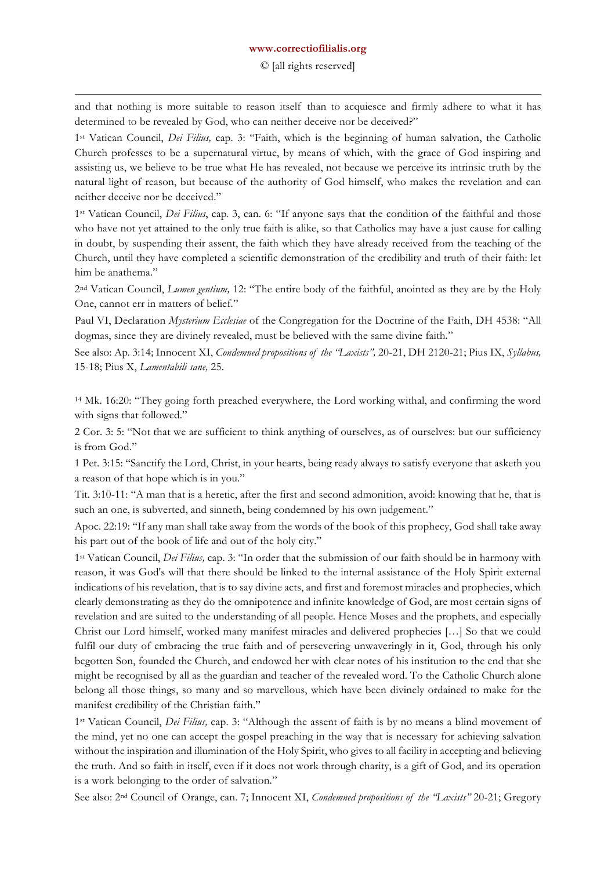<u> 1989 - Andrea Santa Andrea Andrea Andrea Andrea Andrea Andrea Andrea Andrea Andrea Andrea Andrea Andrea Andr</u> and that nothing is more suitable to reason itself than to acquiesce and firmly adhere to what it has determined to be revealed by God, who can neither deceive nor be deceived?"

1st Vatican Council, *Dei Filius,* cap. 3: "Faith, which is the beginning of human salvation, the Catholic Church professes to be a supernatural virtue, by means of which, with the grace of God inspiring and assisting us, we believe to be true what He has revealed, not because we perceive its intrinsic truth by the natural light of reason, but because of the authority of God himself, who makes the revelation and can neither deceive nor be deceived."

1st Vatican Council, *Dei Filius*, cap. 3, can. 6: "If anyone says that the condition of the faithful and those who have not yet attained to the only true faith is alike, so that Catholics may have a just cause for calling in doubt, by suspending their assent, the faith which they have already received from the teaching of the Church, until they have completed a scientific demonstration of the credibility and truth of their faith: let him be anathema."

2nd Vatican Council, *Lumen gentium,* 12: "The entire body of the faithful, anointed as they are by the Holy One, cannot err in matters of belief."

Paul VI, Declaration *Mysterium Ecclesiae* of the Congregation for the Doctrine of the Faith, DH 4538: "All dogmas, since they are divinely revealed, must be believed with the same divine faith."

See also: Ap. 3:14; Innocent XI, *Condemned propositions of the "Laxists",* 20-21, DH 2120-21; Pius IX, *Syllabus,*  15-18; Pius X, *Lamentabili sane,* 25.

<sup>14</sup> Mk. 16:20: "They going forth preached everywhere, the Lord working withal, and confirming the word with signs that followed."

2 Cor. 3: 5: "Not that we are sufficient to think anything of ourselves, as of ourselves: but our sufficiency is from God."

1 Pet. 3:15: "Sanctify the Lord, Christ, in your hearts, being ready always to satisfy everyone that asketh you a reason of that hope which is in you."

Tit. 3:10-11: "A man that is a heretic, after the first and second admonition, avoid: knowing that he, that is such an one, is subverted, and sinneth, being condemned by his own judgement."

Apoc. 22:19: "If any man shall take away from the words of the book of this prophecy, God shall take away his part out of the book of life and out of the holy city."

1st Vatican Council, *Dei Filius,* cap. 3: "In order that the submission of our faith should be in harmony with reason, it was God's will that there should be linked to the internal assistance of the Holy Spirit external indications of his revelation, that is to say divine acts, and first and foremost miracles and prophecies, which clearly demonstrating as they do the omnipotence and infinite knowledge of God, are most certain signs of revelation and are suited to the understanding of all people. Hence Moses and the prophets, and especially Christ our Lord himself, worked many manifest miracles and delivered prophecies […] So that we could fulfil our duty of embracing the true faith and of persevering unwaveringly in it, God, through his only begotten Son, founded the Church, and endowed her with clear notes of his institution to the end that she might be recognised by all as the guardian and teacher of the revealed word. To the Catholic Church alone belong all those things, so many and so marvellous, which have been divinely ordained to make for the manifest credibility of the Christian faith."

1st Vatican Council, *Dei Filius,* cap. 3: "Although the assent of faith is by no means a blind movement of the mind, yet no one can accept the gospel preaching in the way that is necessary for achieving salvation without the inspiration and illumination of the Holy Spirit, who gives to all facility in accepting and believing the truth. And so faith in itself, even if it does not work through charity, is a gift of God, and its operation is a work belonging to the order of salvation."

See also: 2nd Council of Orange, can. 7; Innocent XI, *Condemned propositions of the "Laxists"* 20-21; Gregory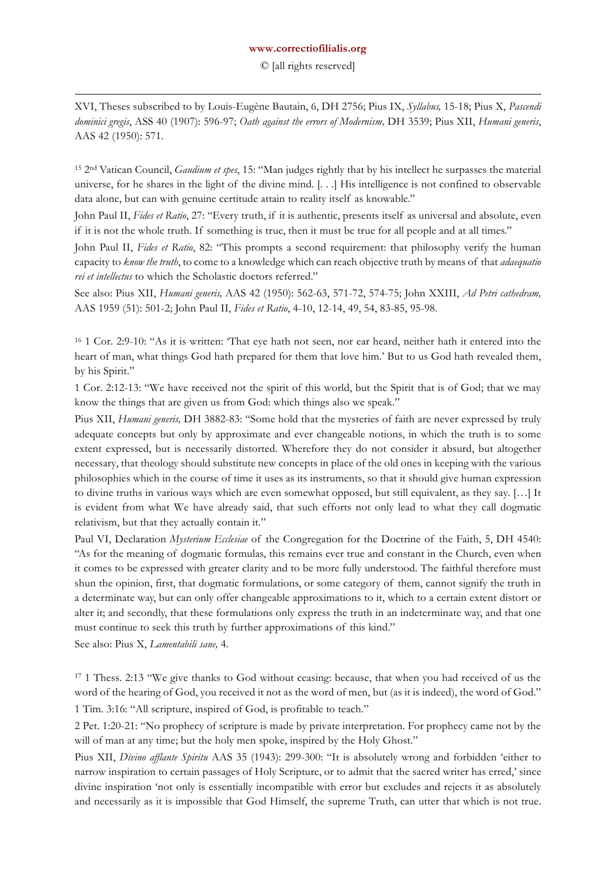<u> 1989 - Andrea Santa Andrea Andrea Andrea Andrea Andrea Andrea Andrea Andrea Andrea Andrea Andrea Andrea Andr</u> XVI, Theses subscribed to by Louis-Eugène Bautain, 6, DH 2756; Pius IX, *Syllabus,* 15-18; Pius X, *Pascendi dominici gregis*, ASS 40 (1907): 596-97; *Oath against the errors of Modernism,* DH 3539; Pius XII, *Humani generis*, AAS 42 (1950): 571.

<sup>15</sup> 2nd Vatican Council, *Gaudium et spes*, 15: "Man judges rightly that by his intellect he surpasses the material universe, for he shares in the light of the divine mind. [. . .] His intelligence is not confined to observable data alone, but can with genuine certitude attain to reality itself as knowable."

John Paul II, *Fides et Ratio*, 27: "Every truth, if it is authentic, presents itself as universal and absolute, even if it is not the whole truth. If something is true, then it must be true for all people and at all times."

John Paul II, *Fides et Ratio*, 82: "This prompts a second requirement: that philosophy verify the human capacity to *know the truth*, to come to a knowledge which can reach objective truth by means of that *adaequatio rei et intellectus* to which the Scholastic doctors referred."

See also: Pius XII, *Humani generis,* AAS 42 (1950): 562-63, 571-72, 574-75; John XXIII, *Ad Petri cathedram,*  AAS 1959 (51): 501-2; John Paul II, *Fides et Ratio*, 4-10, 12-14, 49, 54, 83-85, 95-98.

<sup>16</sup> 1 Cor. 2:9-10: "As it is written: 'That eye hath not seen, nor ear heard, neither hath it entered into the heart of man, what things God hath prepared for them that love him.' But to us God hath revealed them, by his Spirit."

1 Cor. 2:12-13: "We have received not the spirit of this world, but the Spirit that is of God; that we may know the things that are given us from God: which things also we speak."

Pius XII, *Humani generis,* DH 3882-83: "Some hold that the mysteries of faith are never expressed by truly adequate concepts but only by approximate and ever changeable notions, in which the truth is to some extent expressed, but is necessarily distorted. Wherefore they do not consider it absurd, but altogether necessary, that theology should substitute new concepts in place of the old ones in keeping with the various philosophies which in the course of time it uses as its instruments, so that it should give human expression to divine truths in various ways which are even somewhat opposed, but still equivalent, as they say. […] It is evident from what We have already said, that such efforts not only lead to what they call dogmatic relativism, but that they actually contain it."

Paul VI, Declaration *Mysterium Ecclesiae* of the Congregation for the Doctrine of the Faith, 5, DH 4540: "As for the meaning of dogmatic formulas, this remains ever true and constant in the Church, even when it comes to be expressed with greater clarity and to be more fully understood. The faithful therefore must shun the opinion, first, that dogmatic formulations, or some category of them, cannot signify the truth in a determinate way, but can only offer changeable approximations to it, which to a certain extent distort or alter it; and secondly, that these formulations only express the truth in an indeterminate way, and that one must continue to seek this truth by further approximations of this kind."

See also: Pius X, *Lamentabili sane,* 4.

<sup>17</sup> 1 Thess. 2:13 "We give thanks to God without ceasing: because, that when you had received of us the word of the hearing of God, you received it not as the word of men, but (as it is indeed), the word of God." 1 Tim. 3:16: "All scripture, inspired of God, is profitable to teach."

2 Pet. 1:20-21: "No prophecy of scripture is made by private interpretation. For prophecy came not by the will of man at any time; but the holy men spoke, inspired by the Holy Ghost."

Pius XII, *Divino afflante Spiritu* AAS 35 (1943): 299-300: "It is absolutely wrong and forbidden 'either to narrow inspiration to certain passages of Holy Scripture, or to admit that the sacred writer has erred,' since divine inspiration 'not only is essentially incompatible with error but excludes and rejects it as absolutely and necessarily as it is impossible that God Himself, the supreme Truth, can utter that which is not true.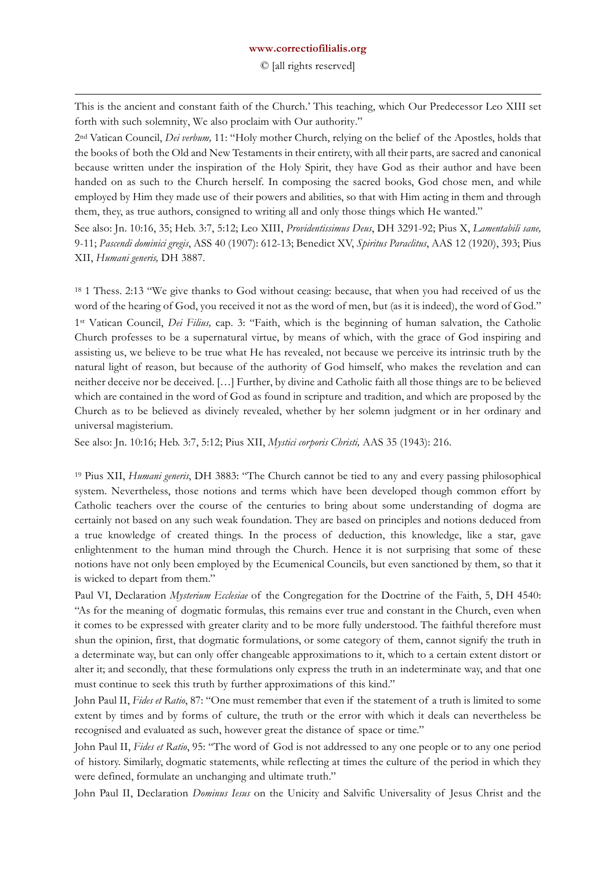<u> 1989 - Andrea Santa Andrea Andrea Andrea Andrea Andrea Andrea Andrea Andrea Andrea Andrea Andrea Andrea Andr</u> This is the ancient and constant faith of the Church.' This teaching, which Our Predecessor Leo XIII set forth with such solemnity, We also proclaim with Our authority."

2nd Vatican Council, *Dei verbum,* 11: "Holy mother Church, relying on the belief of the Apostles, holds that the books of both the Old and New Testaments in their entirety, with all their parts, are sacred and canonical because written under the inspiration of the Holy Spirit, they have God as their author and have been handed on as such to the Church herself. In composing the sacred books, God chose men, and while employed by Him they made use of their powers and abilities, so that with Him acting in them and through them, they, as true authors, consigned to writing all and only those things which He wanted."

See also: Jn. 10:16, 35; Heb. 3:7, 5:12; Leo XIII, *Providentissimus Deus*, DH 3291-92; Pius X, *Lamentabili sane,*  9-11; *Pascendi dominici gregis*, ASS 40 (1907): 612-13; Benedict XV, *Spiritus Paraclitus*, AAS 12 (1920), 393; Pius XII, *Humani generis,* DH 3887.

<sup>18</sup> 1 Thess. 2:13 "We give thanks to God without ceasing: because, that when you had received of us the word of the hearing of God, you received it not as the word of men, but (as it is indeed), the word of God." 1st Vatican Council, *Dei Filius,* cap. 3: "Faith, which is the beginning of human salvation, the Catholic Church professes to be a supernatural virtue, by means of which, with the grace of God inspiring and assisting us, we believe to be true what He has revealed, not because we perceive its intrinsic truth by the natural light of reason, but because of the authority of God himself, who makes the revelation and can neither deceive nor be deceived. […] Further, by divine and Catholic faith all those things are to be believed which are contained in the word of God as found in scripture and tradition, and which are proposed by the Church as to be believed as divinely revealed, whether by her solemn judgment or in her ordinary and universal magisterium.

See also: Jn. 10:16; Heb. 3:7, 5:12; Pius XII, *Mystici corporis Christi,* AAS 35 (1943): 216.

<sup>19</sup> Pius XII, *Humani generis*, DH 3883: "The Church cannot be tied to any and every passing philosophical system. Nevertheless, those notions and terms which have been developed though common effort by Catholic teachers over the course of the centuries to bring about some understanding of dogma are certainly not based on any such weak foundation. They are based on principles and notions deduced from a true knowledge of created things. In the process of deduction, this knowledge, like a star, gave enlightenment to the human mind through the Church. Hence it is not surprising that some of these notions have not only been employed by the Ecumenical Councils, but even sanctioned by them, so that it is wicked to depart from them."

Paul VI, Declaration *Mysterium Ecclesiae* of the Congregation for the Doctrine of the Faith, 5, DH 4540: "As for the meaning of dogmatic formulas, this remains ever true and constant in the Church, even when it comes to be expressed with greater clarity and to be more fully understood. The faithful therefore must shun the opinion, first, that dogmatic formulations, or some category of them, cannot signify the truth in a determinate way, but can only offer changeable approximations to it, which to a certain extent distort or alter it; and secondly, that these formulations only express the truth in an indeterminate way, and that one must continue to seek this truth by further approximations of this kind."

John Paul II, *Fides et Ratio*, 87: "One must remember that even if the statement of a truth is limited to some extent by times and by forms of culture, the truth or the error with which it deals can nevertheless be recognised and evaluated as such, however great the distance of space or time."

John Paul II, *Fides et Ratio*, 95: "The word of God is not addressed to any one people or to any one period of history. Similarly, dogmatic statements, while reflecting at times the culture of the period in which they were defined, formulate an unchanging and ultimate truth."

John Paul II, Declaration *Dominus Iesus* on the Unicity and Salvific Universality of Jesus Christ and the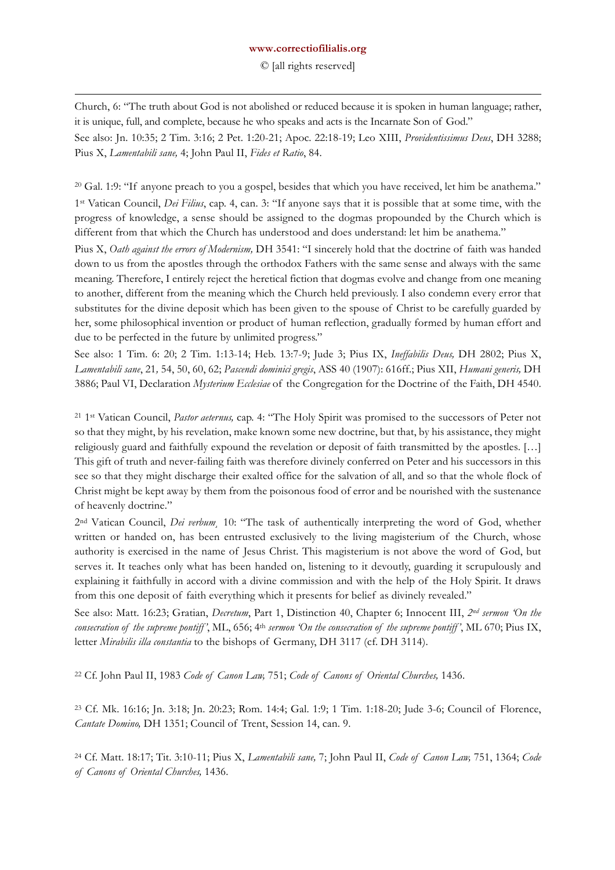© [all rights reserved]

<u> 1989 - Andrea Santa Andrea Andrea Andrea Andrea Andrea Andrea Andrea Andrea Andrea Andrea Andrea Andrea Andr</u>

Church, 6: "The truth about God is not abolished or reduced because it is spoken in human language; rather, it is unique, full, and complete, because he who speaks and acts is the Incarnate Son of God." See also: Jn. 10:35; 2 Tim. 3:16; 2 Pet. 1:20-21; Apoc. 22:18-19; Leo XIII, *Providentissimus Deus*, DH 3288; Pius X, *Lamentabili sane,* 4; John Paul II, *Fides et Ratio*, 84.

<sup>20</sup> Gal. 1:9: "If anyone preach to you a gospel, besides that which you have received, let him be anathema." 1st Vatican Council, *Dei Filius*, cap. 4, can. 3: "If anyone says that it is possible that at some time, with the progress of knowledge, a sense should be assigned to the dogmas propounded by the Church which is different from that which the Church has understood and does understand: let him be anathema."

Pius X, *Oath against the errors of Modernism,* DH 3541: "I sincerely hold that the doctrine of faith was handed down to us from the apostles through the orthodox Fathers with the same sense and always with the same meaning. Therefore, I entirely reject the heretical fiction that dogmas evolve and change from one meaning to another, different from the meaning which the Church held previously. I also condemn every error that substitutes for the divine deposit which has been given to the spouse of Christ to be carefully guarded by her, some philosophical invention or product of human reflection, gradually formed by human effort and due to be perfected in the future by unlimited progress."

See also: 1 Tim. 6: 20; 2 Tim. 1:13-14; Heb. 13:7-9; Jude 3; Pius IX, *Ineffabilis Deus,* DH 2802; Pius X, *Lamentabili sane*, 21*,* 54, 50, 60, 62; *Pascendi dominici gregis*, ASS 40 (1907): 616ff.; Pius XII, *Humani generis,* DH 3886; Paul VI, Declaration *Mysterium Ecclesiae* of the Congregation for the Doctrine of the Faith, DH 4540.

<sup>21</sup> 1st Vatican Council, *Pastor aeternus,* cap. 4: "The Holy Spirit was promised to the successors of Peter not so that they might, by his revelation, make known some new doctrine, but that, by his assistance, they might religiously guard and faithfully expound the revelation or deposit of faith transmitted by the apostles. […] This gift of truth and never-failing faith was therefore divinely conferred on Peter and his successors in this see so that they might discharge their exalted office for the salvation of all, and so that the whole flock of Christ might be kept away by them from the poisonous food of error and be nourished with the sustenance of heavenly doctrine."

2nd Vatican Council, *Dei verbum*¸ 10: "The task of authentically interpreting the word of God, whether written or handed on, has been entrusted exclusively to the living magisterium of the Church, whose authority is exercised in the name of Jesus Christ. This magisterium is not above the word of God, but serves it. It teaches only what has been handed on, listening to it devoutly, guarding it scrupulously and explaining it faithfully in accord with a divine commission and with the help of the Holy Spirit. It draws from this one deposit of faith everything which it presents for belief as divinely revealed."

See also: Matt. 16:23; Gratian, *Decretum*, Part 1, Distinction 40, Chapter 6; Innocent III, *2nd sermon 'On the consecration of the supreme pontiff'*, ML, 656; 4th *sermon 'On the consecration of the supreme pontiff'*, ML 670; Pius IX, letter *Mirabilis illa constantia* to the bishops of Germany, DH 3117 (cf. DH 3114).

<sup>22</sup> Cf. John Paul II, 1983 *Code of Canon Law,* 751; *Code of Canons of Oriental Churches,* 1436.

<sup>23</sup> Cf. Mk. 16:16; Jn. 3:18; Jn. 20:23; Rom. 14:4; Gal. 1:9; 1 Tim. 1:18-20; Jude 3-6; Council of Florence, *Cantate Domino,* DH 1351; Council of Trent, Session 14, can. 9.

<sup>24</sup> Cf. Matt. 18:17; Tit. 3:10-11; Pius X, *Lamentabili sane,* 7; John Paul II, *Code of Canon Law,* 751, 1364; *Code of Canons of Oriental Churches,* 1436.